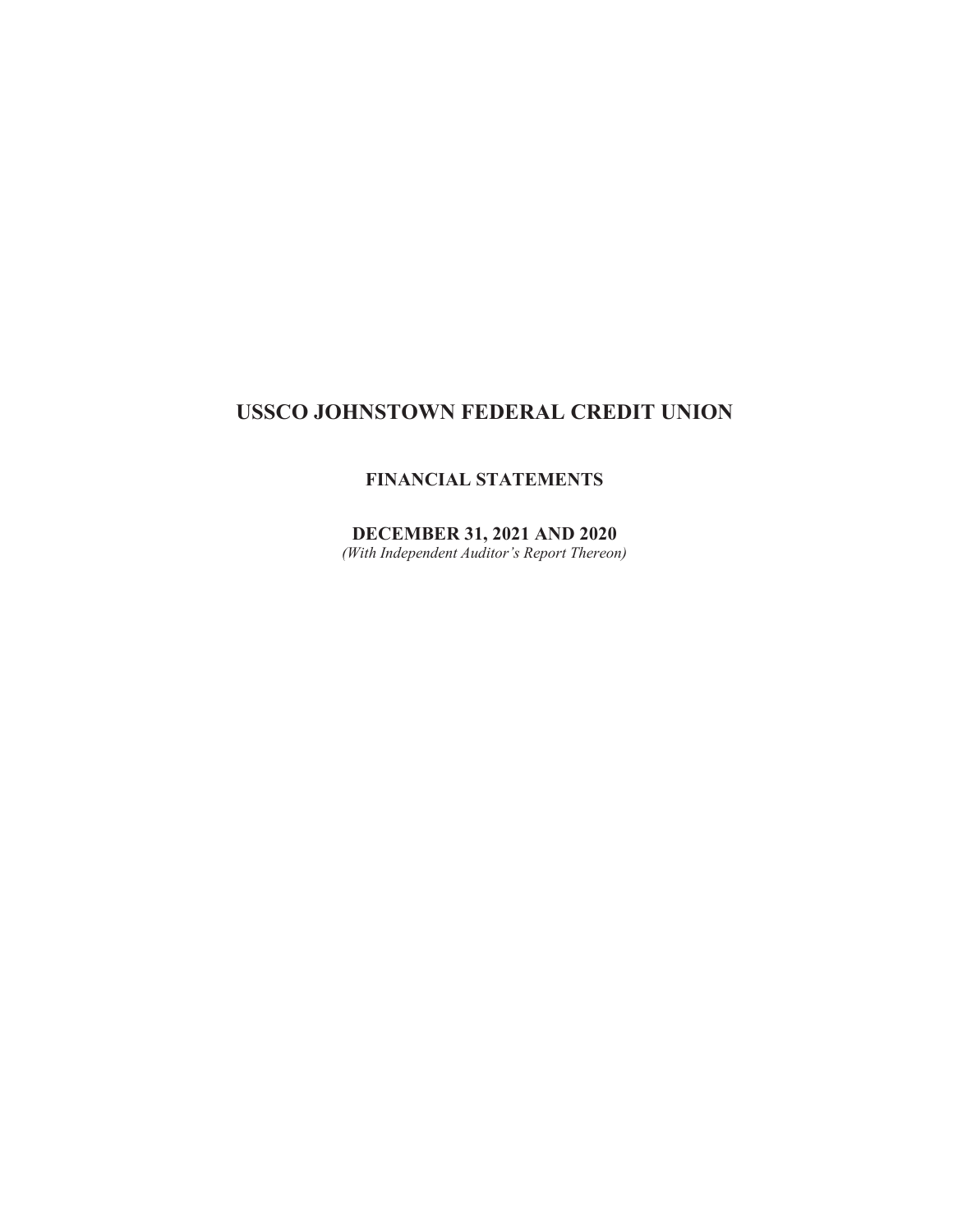### **FINANCIAL STATEMENTS**

**DECEMBER 31, 2021 AND 2020** 

*(With Independent Auditor's Report Thereon)*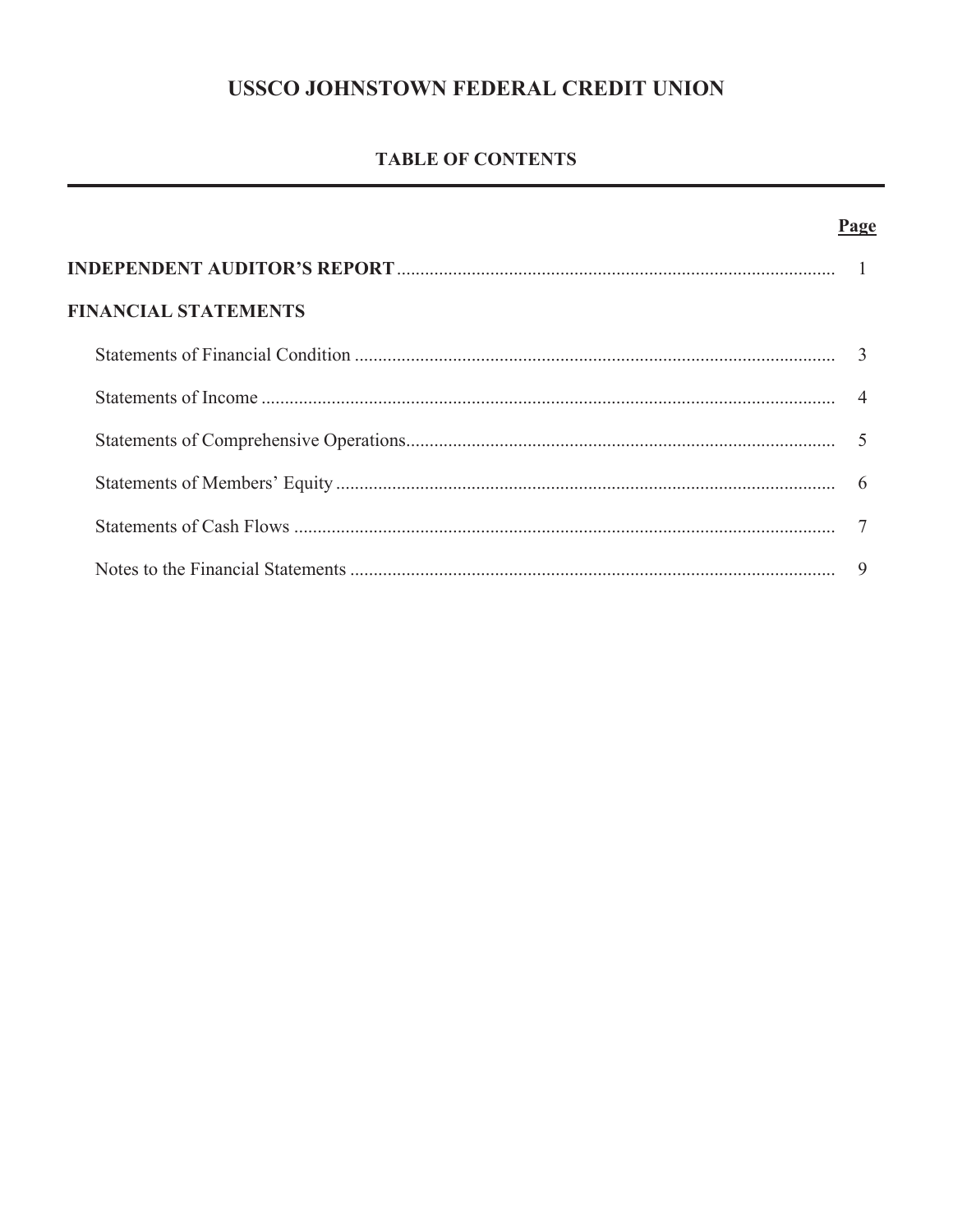## **TABLE OF CONTENTS**

|                             | Page |
|-----------------------------|------|
|                             |      |
| <b>FINANCIAL STATEMENTS</b> |      |
|                             |      |
|                             |      |
|                             |      |
|                             |      |
|                             |      |
|                             |      |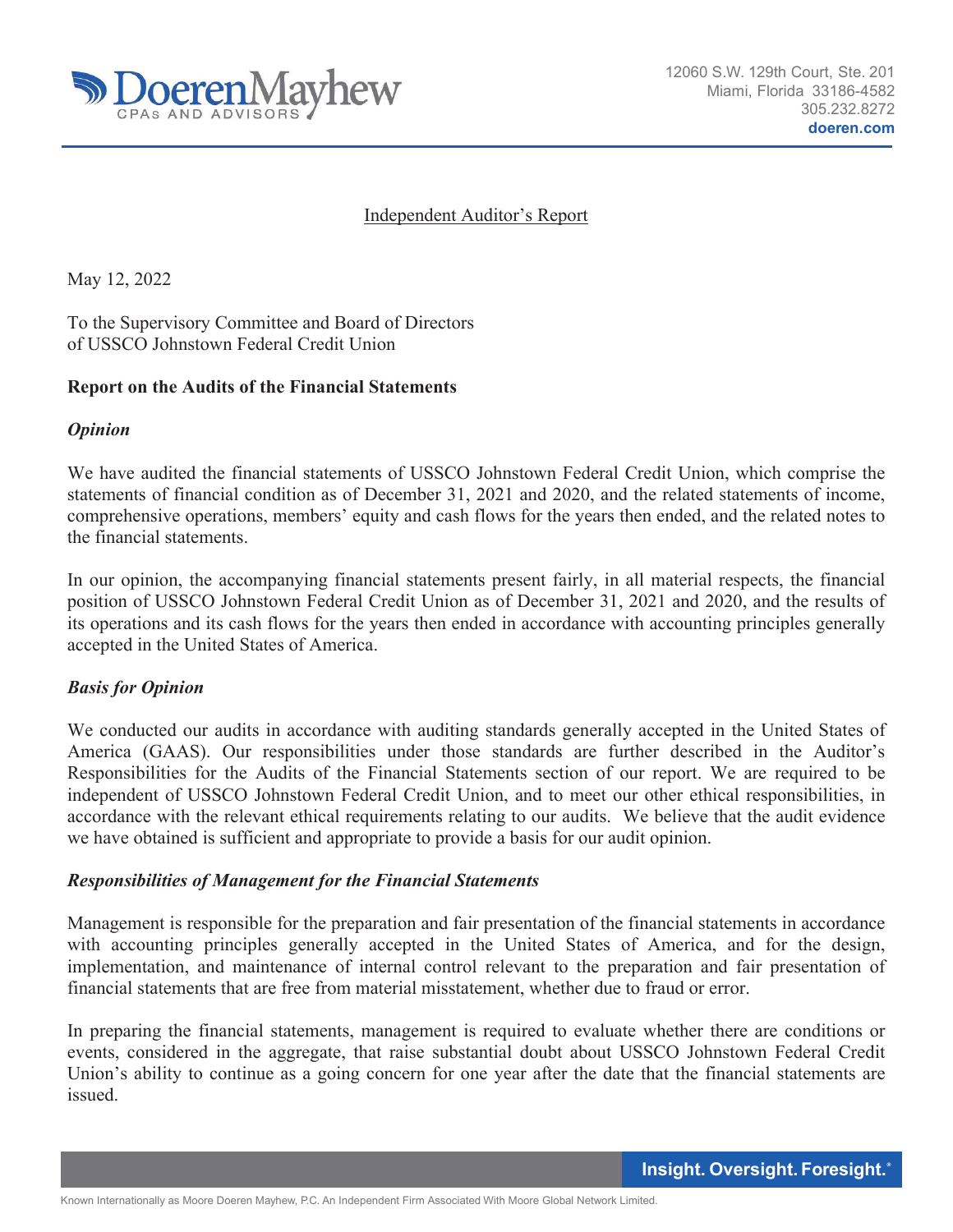

Independent Auditor's Report

May 12, 2022

To the Supervisory Committee and Board of Directors of USSCO Johnstown Federal Credit Union

### **Report on the Audits of the Financial Statements**

### *Opinion*

We have audited the financial statements of USSCO Johnstown Federal Credit Union, which comprise the statements of financial condition as of December 31, 2021 and 2020, and the related statements of income, comprehensive operations, members' equity and cash flows for the years then ended, and the related notes to the financial statements.

In our opinion, the accompanying financial statements present fairly, in all material respects, the financial position of USSCO Johnstown Federal Credit Union as of December 31, 2021 and 2020, and the results of its operations and its cash flows for the years then ended in accordance with accounting principles generally accepted in the United States of America.

### *Basis for Opinion*

We conducted our audits in accordance with auditing standards generally accepted in the United States of America (GAAS). Our responsibilities under those standards are further described in the Auditor's Responsibilities for the Audits of the Financial Statements section of our report. We are required to be independent of USSCO Johnstown Federal Credit Union, and to meet our other ethical responsibilities, in accordance with the relevant ethical requirements relating to our audits. We believe that the audit evidence we have obtained is sufficient and appropriate to provide a basis for our audit opinion.

### *Responsibilities of Management for the Financial Statements*

Management is responsible for the preparation and fair presentation of the financial statements in accordance with accounting principles generally accepted in the United States of America, and for the design, implementation, and maintenance of internal control relevant to the preparation and fair presentation of financial statements that are free from material misstatement, whether due to fraud or error.

In preparing the financial statements, management is required to evaluate whether there are conditions or events, considered in the aggregate, that raise substantial doubt about USSCO Johnstown Federal Credit Union's ability to continue as a going concern for one year after the date that the financial statements are issued.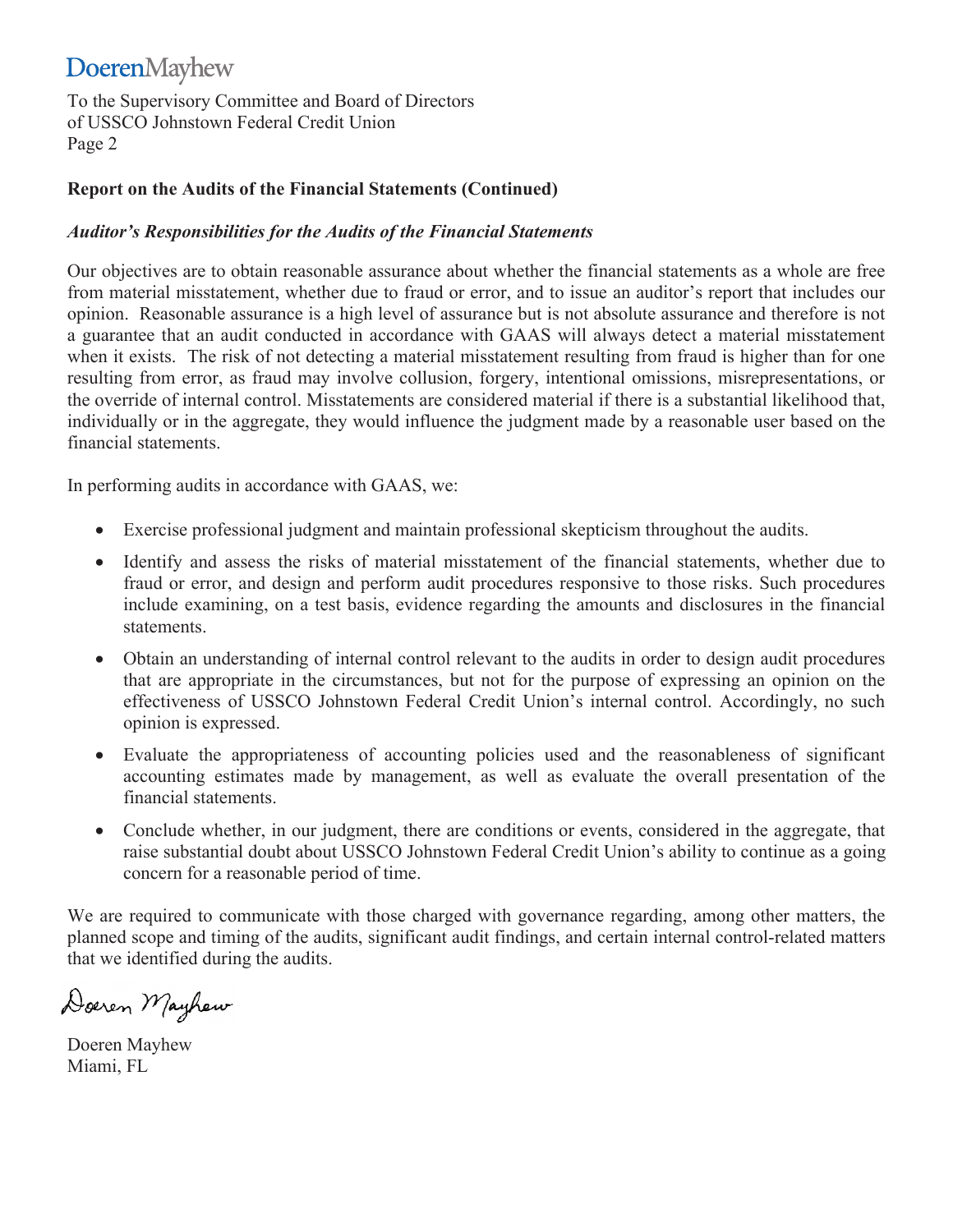# DoerenMayhew

To the Supervisory Committee and Board of Directors of USSCO Johnstown Federal Credit Union Page 2

### **Report on the Audits of the Financial Statements (Continued)**

### *Auditor's Responsibilities for the Audits of the Financial Statements*

Our objectives are to obtain reasonable assurance about whether the financial statements as a whole are free from material misstatement, whether due to fraud or error, and to issue an auditor's report that includes our opinion. Reasonable assurance is a high level of assurance but is not absolute assurance and therefore is not a guarantee that an audit conducted in accordance with GAAS will always detect a material misstatement when it exists. The risk of not detecting a material misstatement resulting from fraud is higher than for one resulting from error, as fraud may involve collusion, forgery, intentional omissions, misrepresentations, or the override of internal control. Misstatements are considered material if there is a substantial likelihood that, individually or in the aggregate, they would influence the judgment made by a reasonable user based on the financial statements.

In performing audits in accordance with GAAS, we:

- Exercise professional judgment and maintain professional skepticism throughout the audits.
- Identify and assess the risks of material misstatement of the financial statements, whether due to fraud or error, and design and perform audit procedures responsive to those risks. Such procedures include examining, on a test basis, evidence regarding the amounts and disclosures in the financial statements.
- Obtain an understanding of internal control relevant to the audits in order to design audit procedures that are appropriate in the circumstances, but not for the purpose of expressing an opinion on the effectiveness of USSCO Johnstown Federal Credit Union's internal control. Accordingly, no such opinion is expressed.
- Evaluate the appropriateness of accounting policies used and the reasonableness of significant accounting estimates made by management, as well as evaluate the overall presentation of the financial statements.
- Conclude whether, in our judgment, there are conditions or events, considered in the aggregate, that raise substantial doubt about USSCO Johnstown Federal Credit Union's ability to continue as a going concern for a reasonable period of time.

We are required to communicate with those charged with governance regarding, among other matters, the planned scope and timing of the audits, significant audit findings, and certain internal control-related matters that we identified during the audits.

Doeren Mayhew

Doeren Mayhew Miami, FL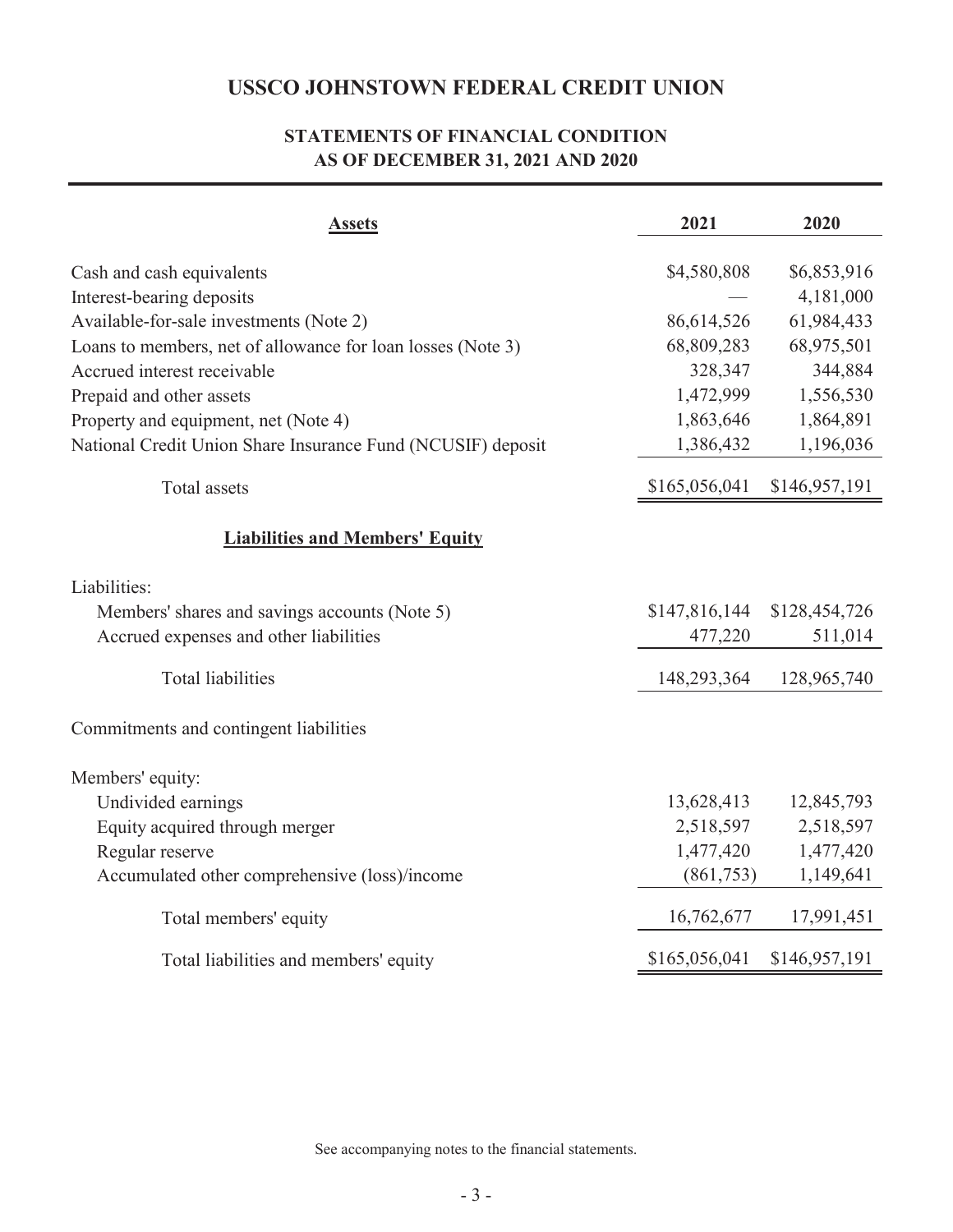## **STATEMENTS OF FINANCIAL CONDITION AS OF DECEMBER 31, 2021 AND 2020**

| <b>Assets</b>                                               | 2021          | 2020          |
|-------------------------------------------------------------|---------------|---------------|
| Cash and cash equivalents                                   | \$4,580,808   | \$6,853,916   |
| Interest-bearing deposits                                   |               | 4,181,000     |
| Available-for-sale investments (Note 2)                     | 86,614,526    | 61,984,433    |
| Loans to members, net of allowance for loan losses (Note 3) | 68,809,283    | 68,975,501    |
| Accrued interest receivable                                 | 328,347       | 344,884       |
| Prepaid and other assets                                    | 1,472,999     | 1,556,530     |
| Property and equipment, net (Note 4)                        | 1,863,646     | 1,864,891     |
| National Credit Union Share Insurance Fund (NCUSIF) deposit | 1,386,432     | 1,196,036     |
| Total assets                                                | \$165,056,041 | \$146,957,191 |
| <b>Liabilities and Members' Equity</b>                      |               |               |
| Liabilities:                                                |               |               |
| Members' shares and savings accounts (Note 5)               | \$147,816,144 | \$128,454,726 |
| Accrued expenses and other liabilities                      | 477,220       | 511,014       |
| <b>Total liabilities</b>                                    | 148,293,364   | 128,965,740   |
| Commitments and contingent liabilities                      |               |               |
| Members' equity:                                            |               |               |
| Undivided earnings                                          | 13,628,413    | 12,845,793    |
| Equity acquired through merger                              | 2,518,597     | 2,518,597     |
| Regular reserve                                             | 1,477,420     | 1,477,420     |
| Accumulated other comprehensive (loss)/income               | (861,753)     | 1,149,641     |
| Total members' equity                                       | 16,762,677    | 17,991,451    |
| Total liabilities and members' equity                       | \$165,056,041 | \$146,957,191 |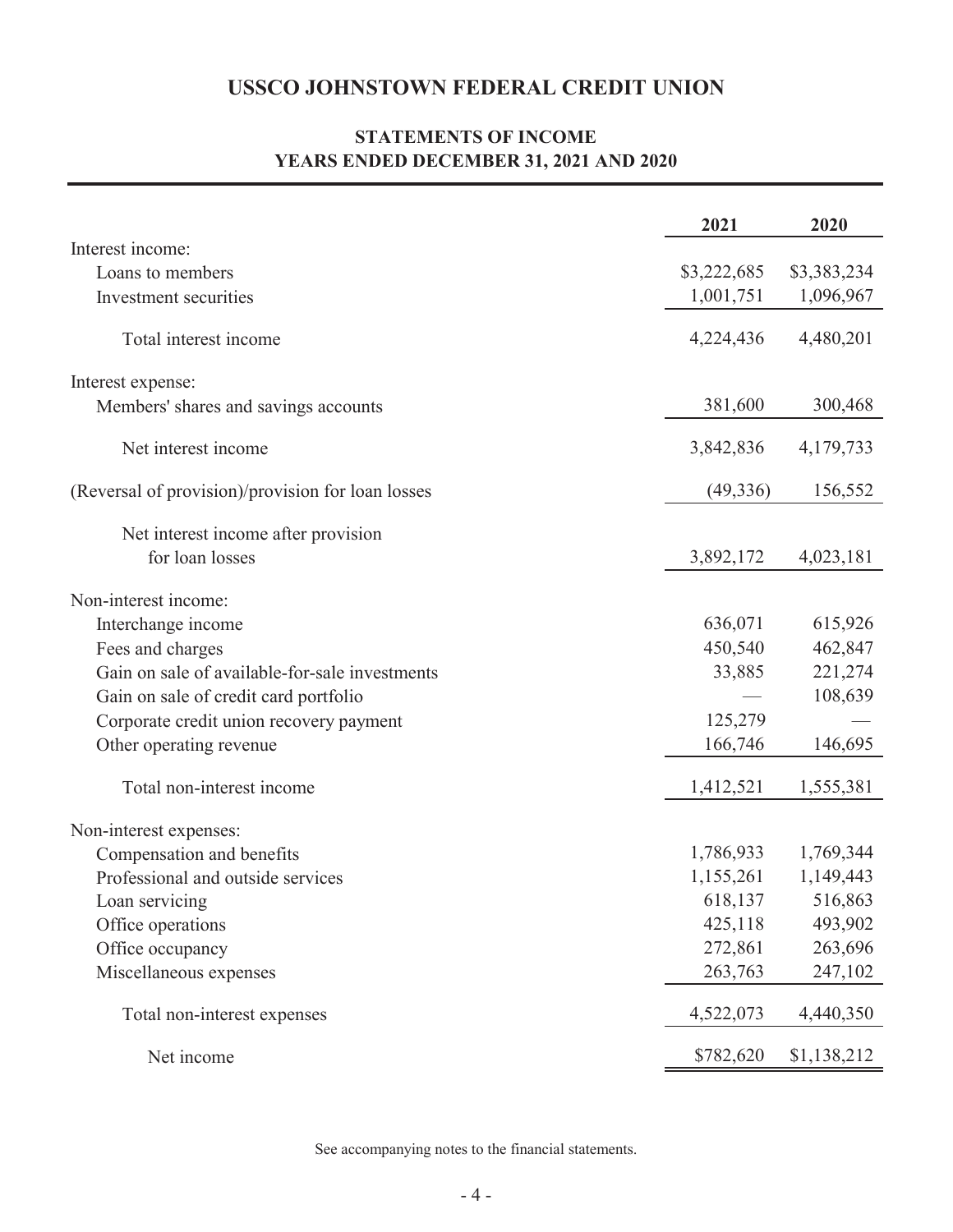## **STATEMENTS OF INCOME YEARS ENDED DECEMBER 31, 2021 AND 2020**

|                                                   | 2021        | 2020        |
|---------------------------------------------------|-------------|-------------|
| Interest income:                                  |             |             |
| Loans to members                                  | \$3,222,685 | \$3,383,234 |
| Investment securities                             | 1,001,751   | 1,096,967   |
| Total interest income                             | 4,224,436   | 4,480,201   |
| Interest expense:                                 |             |             |
| Members' shares and savings accounts              | 381,600     | 300,468     |
| Net interest income                               | 3,842,836   | 4,179,733   |
| (Reversal of provision)/provision for loan losses | (49, 336)   | 156,552     |
| Net interest income after provision               |             |             |
| for loan losses                                   | 3,892,172   | 4,023,181   |
| Non-interest income:                              |             |             |
| Interchange income                                | 636,071     | 615,926     |
| Fees and charges                                  | 450,540     | 462,847     |
| Gain on sale of available-for-sale investments    | 33,885      | 221,274     |
| Gain on sale of credit card portfolio             |             | 108,639     |
| Corporate credit union recovery payment           | 125,279     |             |
| Other operating revenue                           | 166,746     | 146,695     |
| Total non-interest income                         | 1,412,521   | 1,555,381   |
| Non-interest expenses:                            |             |             |
| Compensation and benefits                         | 1,786,933   | 1,769,344   |
| Professional and outside services                 | 1,155,261   | 1,149,443   |
| Loan servicing                                    | 618,137     | 516,863     |
| Office operations                                 | 425,118     | 493,902     |
| Office occupancy                                  | 272,861     | 263,696     |
| Miscellaneous expenses                            | 263,763     | 247,102     |
| Total non-interest expenses                       | 4,522,073   | 4,440,350   |
| Net income                                        | \$782,620   | \$1,138,212 |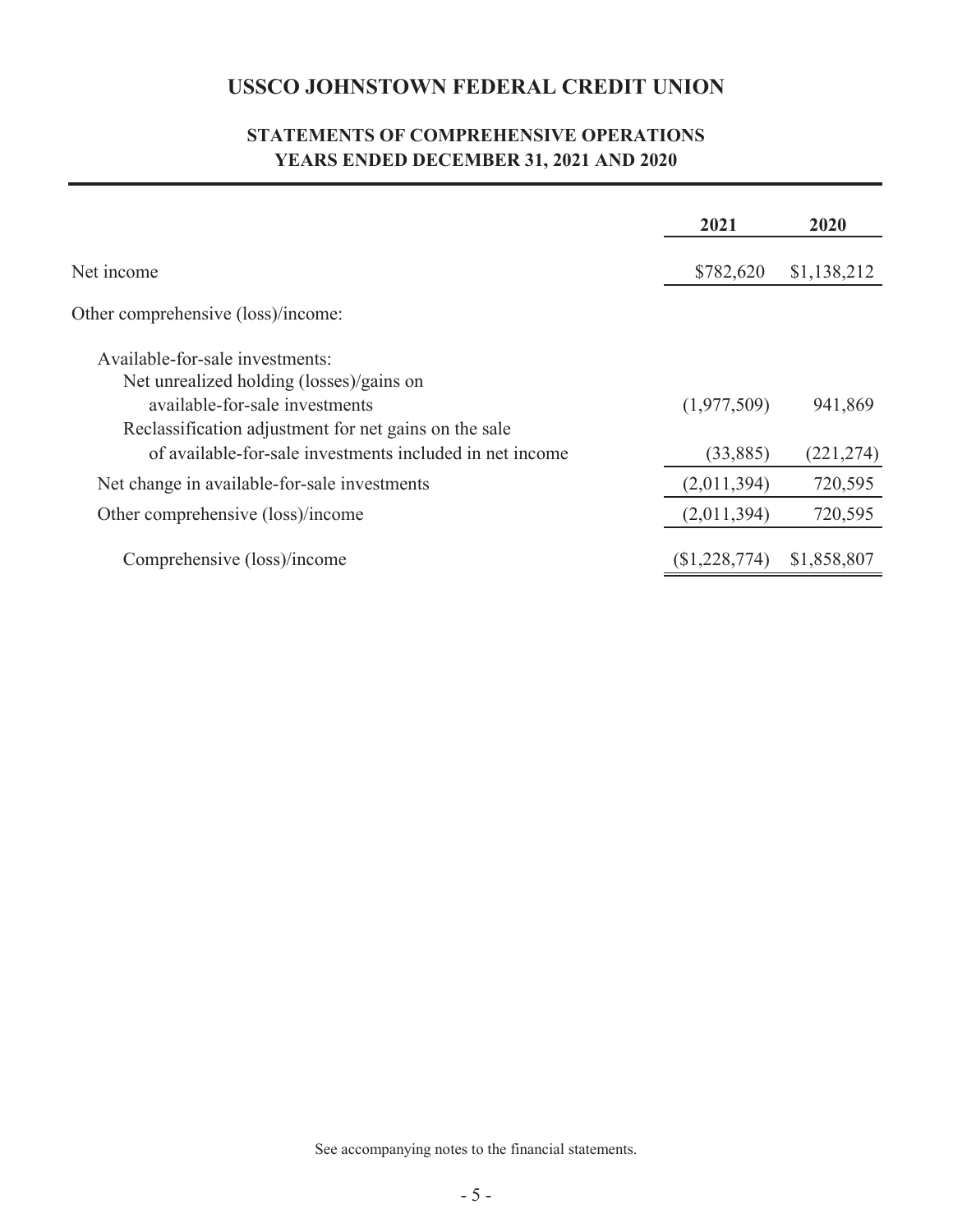## **STATEMENTS OF COMPREHENSIVE OPERATIONS YEARS ENDED DECEMBER 31, 2021 AND 2020**

|                                                          | 2021        | 2020        |
|----------------------------------------------------------|-------------|-------------|
| Net income                                               | \$782,620   | \$1,138,212 |
| Other comprehensive (loss)/income:                       |             |             |
| Available-for-sale investments:                          |             |             |
| Net unrealized holding (losses)/gains on                 |             |             |
| available-for-sale investments                           | (1,977,509) | 941,869     |
| Reclassification adjustment for net gains on the sale    |             |             |
| of available-for-sale investments included in net income | (33, 885)   | (221, 274)  |
| Net change in available-for-sale investments             | (2,011,394) | 720,595     |
| Other comprehensive (loss)/income                        | (2,011,394) | 720,595     |
| Comprehensive (loss)/income                              | \$1,228,774 | \$1,858,807 |
|                                                          |             |             |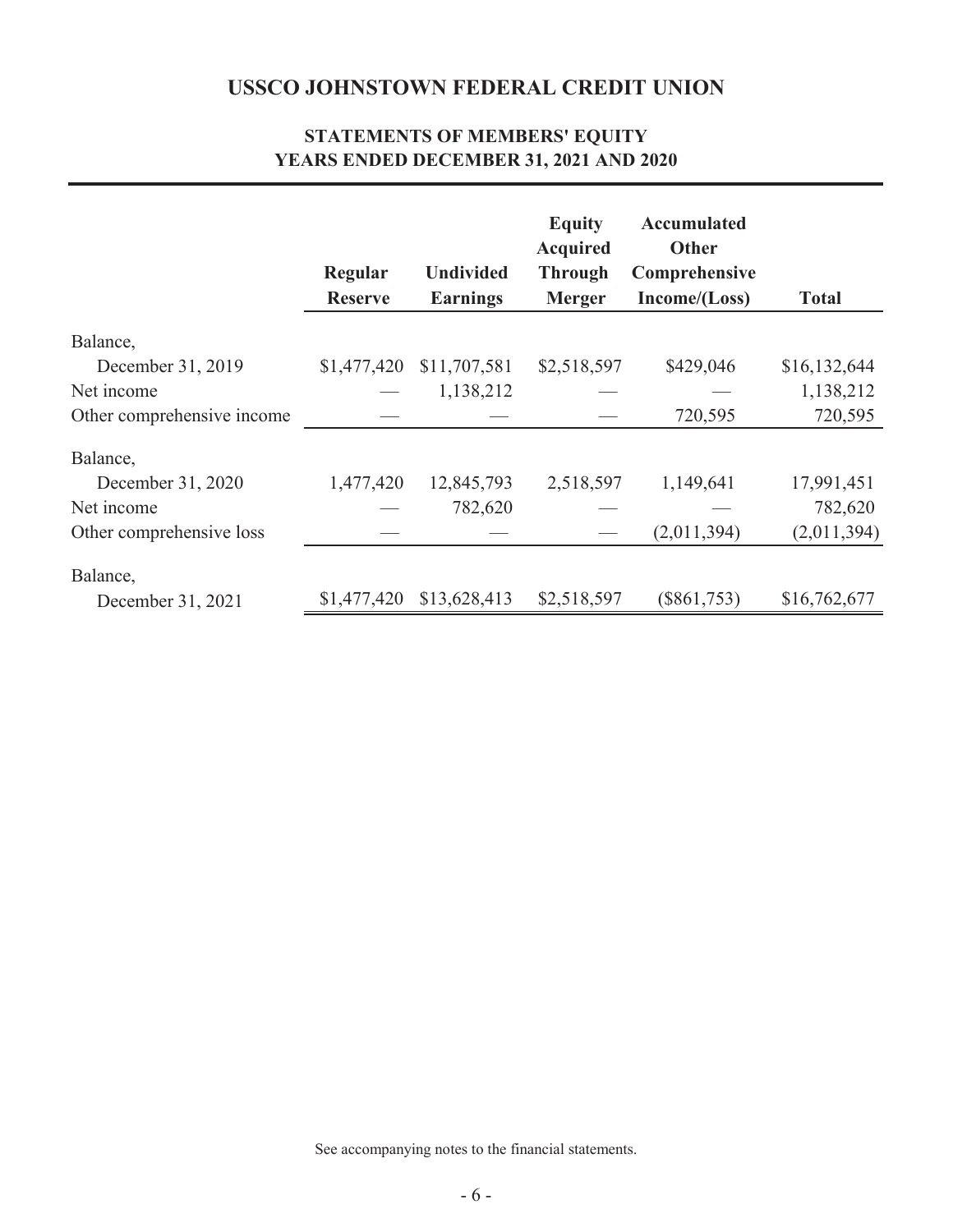## **STATEMENTS OF MEMBERS' EQUITY YEARS ENDED DECEMBER 31, 2021 AND 2020**

|                            |                |                  | <b>Equity</b><br><b>Acquired</b> | Accumulated<br>Other |              |
|----------------------------|----------------|------------------|----------------------------------|----------------------|--------------|
|                            | Regular        | <b>Undivided</b> | <b>Through</b>                   | Comprehensive        |              |
|                            | <b>Reserve</b> | <b>Earnings</b>  | <b>Merger</b>                    | Income/(Loss)        | <b>Total</b> |
| Balance,                   |                |                  |                                  |                      |              |
| December 31, 2019          | \$1,477,420    | \$11,707,581     | \$2,518,597                      | \$429,046            | \$16,132,644 |
| Net income                 |                | 1,138,212        |                                  |                      | 1,138,212    |
| Other comprehensive income |                |                  |                                  | 720,595              | 720,595      |
| Balance,                   |                |                  |                                  |                      |              |
| December 31, 2020          | 1,477,420      | 12,845,793       | 2,518,597                        | 1,149,641            | 17,991,451   |
| Net income                 |                | 782,620          |                                  |                      | 782,620      |
| Other comprehensive loss   |                |                  |                                  | (2,011,394)          | (2,011,394)  |
| Balance,                   |                |                  |                                  |                      |              |
| December 31, 2021          | \$1,477,420    | \$13,628,413     | \$2,518,597                      | $(\$861,753)$        | \$16,762,677 |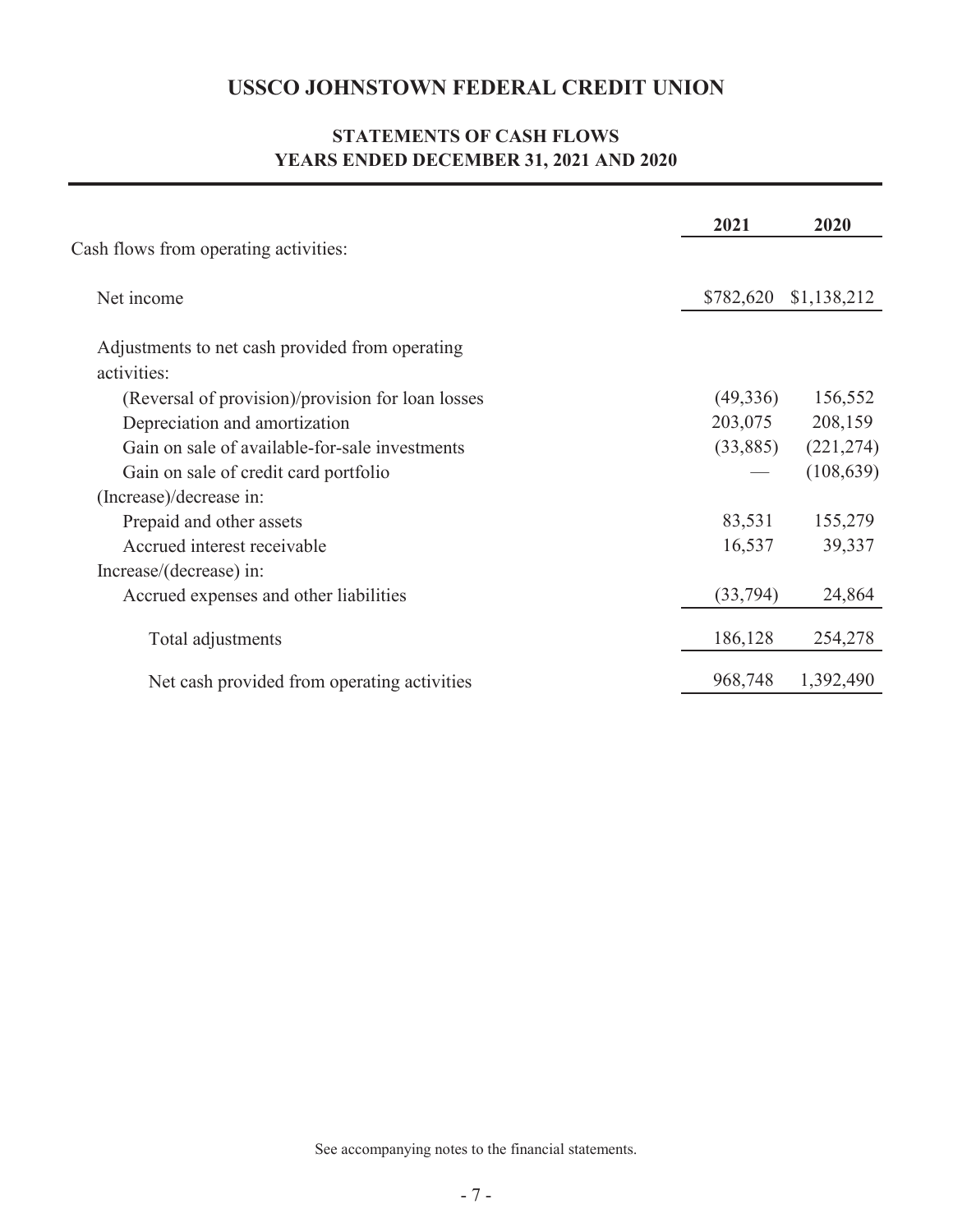## **STATEMENTS OF CASH FLOWS YEARS ENDED DECEMBER 31, 2021 AND 2020**

|                                                   | 2021      | 2020        |
|---------------------------------------------------|-----------|-------------|
| Cash flows from operating activities:             |           |             |
| Net income                                        | \$782,620 | \$1,138,212 |
| Adjustments to net cash provided from operating   |           |             |
| activities:                                       |           |             |
| (Reversal of provision)/provision for loan losses | (49,336)  | 156,552     |
| Depreciation and amortization                     | 203,075   | 208,159     |
| Gain on sale of available-for-sale investments    | (33,885)  | (221, 274)  |
| Gain on sale of credit card portfolio             |           | (108, 639)  |
| (Increase)/decrease in:                           |           |             |
| Prepaid and other assets                          | 83,531    | 155,279     |
| Accrued interest receivable                       | 16,537    | 39,337      |
| Increase/(decrease) in:                           |           |             |
| Accrued expenses and other liabilities            | (33, 794) | 24,864      |
| Total adjustments                                 | 186,128   | 254,278     |
| Net cash provided from operating activities       | 968,748   | 1,392,490   |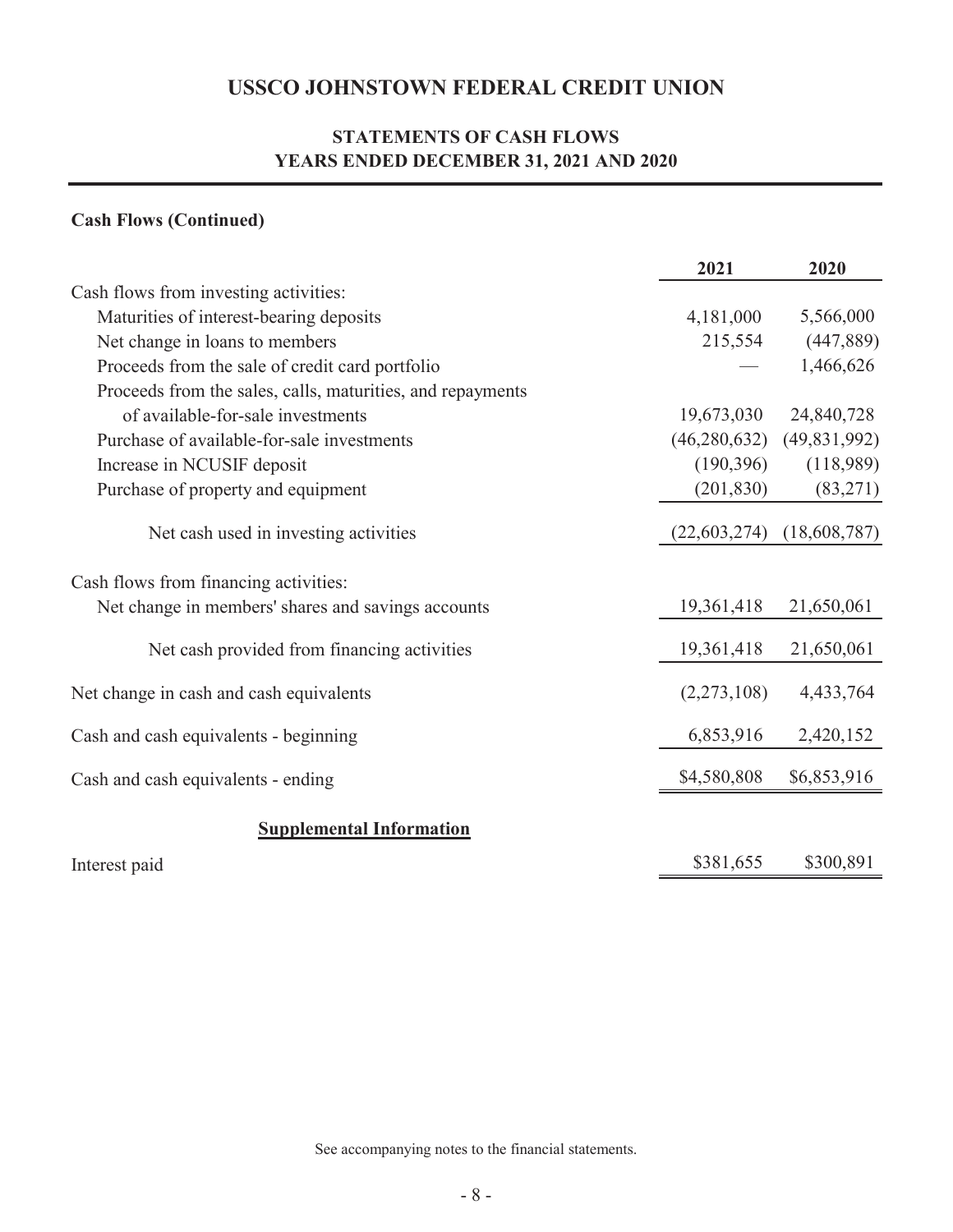## **STATEMENTS OF CASH FLOWS YEARS ENDED DECEMBER 31, 2021 AND 2020**

## **Cash Flows (Continued)**

|                                                            | 2021           | 2020         |
|------------------------------------------------------------|----------------|--------------|
| Cash flows from investing activities:                      |                |              |
| Maturities of interest-bearing deposits                    | 4,181,000      | 5,566,000    |
| Net change in loans to members                             | 215,554        | (447, 889)   |
| Proceeds from the sale of credit card portfolio            |                | 1,466,626    |
| Proceeds from the sales, calls, maturities, and repayments |                |              |
| of available-for-sale investments                          | 19,673,030     | 24,840,728   |
| Purchase of available-for-sale investments                 | (46, 280, 632) | (49,831,992) |
| Increase in NCUSIF deposit                                 | (190, 396)     | (118,989)    |
| Purchase of property and equipment                         | (201, 830)     | (83,271)     |
| Net cash used in investing activities                      | (22, 603, 274) | (18,608,787) |
| Cash flows from financing activities:                      |                |              |
| Net change in members' shares and savings accounts         | 19,361,418     | 21,650,061   |
| Net cash provided from financing activities                | 19,361,418     | 21,650,061   |
| Net change in cash and cash equivalents                    | (2,273,108)    | 4,433,764    |
| Cash and cash equivalents - beginning                      | 6,853,916      | 2,420,152    |
| Cash and cash equivalents - ending                         | \$4,580,808    | \$6,853,916  |
| <b>Supplemental Information</b>                            |                |              |
| Interest paid                                              | \$381,655      | \$300,891    |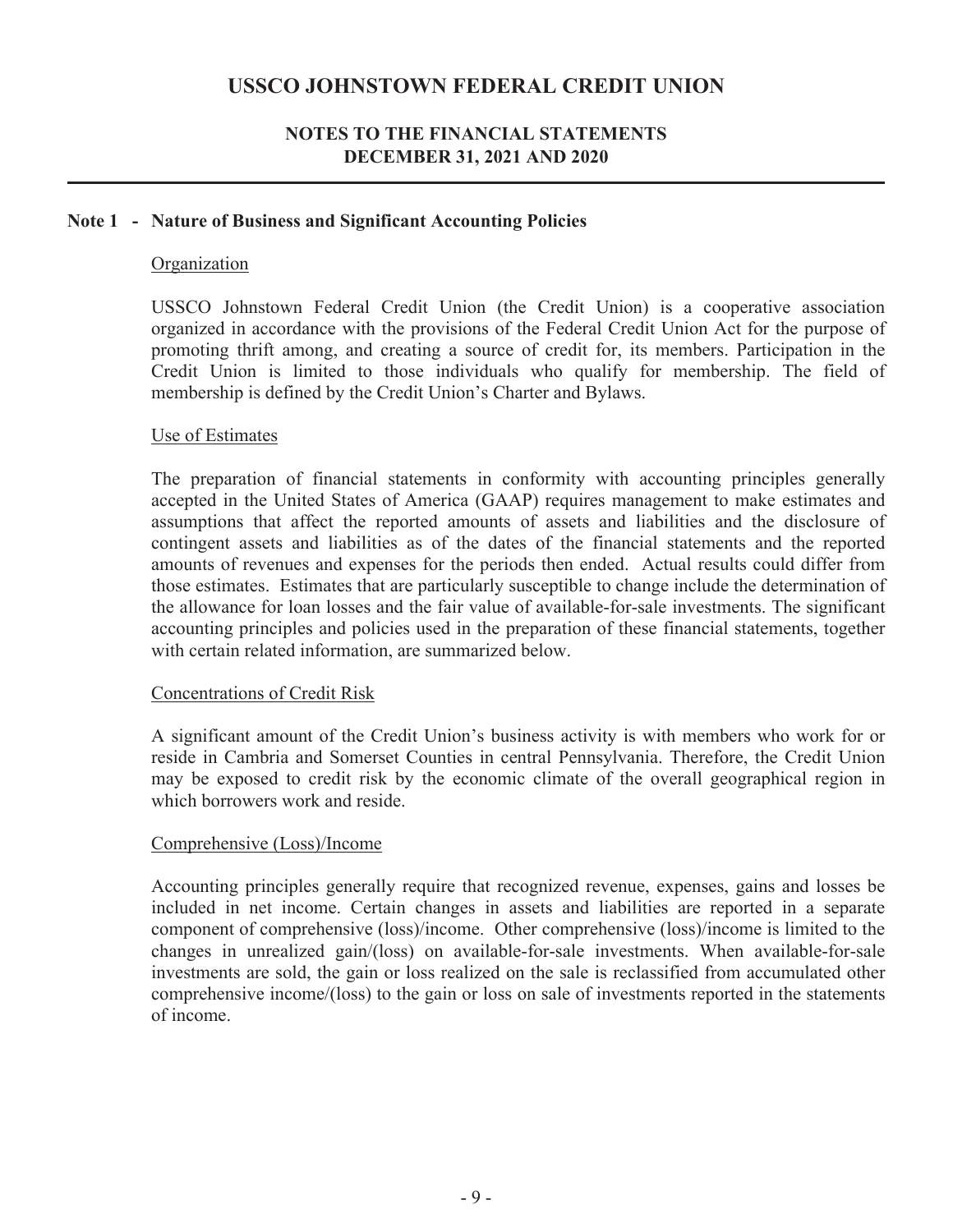### **NOTES TO THE FINANCIAL STATEMENTS DECEMBER 31, 2021 AND 2020**

### **Note 1 - Nature of Business and Significant Accounting Policies**

### Organization

 USSCO Johnstown Federal Credit Union (the Credit Union) is a cooperative association organized in accordance with the provisions of the Federal Credit Union Act for the purpose of promoting thrift among, and creating a source of credit for, its members. Participation in the Credit Union is limited to those individuals who qualify for membership. The field of membership is defined by the Credit Union's Charter and Bylaws.

### Use of Estimates

 The preparation of financial statements in conformity with accounting principles generally accepted in the United States of America (GAAP) requires management to make estimates and assumptions that affect the reported amounts of assets and liabilities and the disclosure of contingent assets and liabilities as of the dates of the financial statements and the reported amounts of revenues and expenses for the periods then ended. Actual results could differ from those estimates. Estimates that are particularly susceptible to change include the determination of the allowance for loan losses and the fair value of available-for-sale investments. The significant accounting principles and policies used in the preparation of these financial statements, together with certain related information, are summarized below.

### Concentrations of Credit Risk

 A significant amount of the Credit Union's business activity is with members who work for or reside in Cambria and Somerset Counties in central Pennsylvania. Therefore, the Credit Union may be exposed to credit risk by the economic climate of the overall geographical region in which borrowers work and reside.

### Comprehensive (Loss)/Income

Accounting principles generally require that recognized revenue, expenses, gains and losses be included in net income. Certain changes in assets and liabilities are reported in a separate component of comprehensive (loss)/income. Other comprehensive (loss)/income is limited to the changes in unrealized gain/(loss) on available-for-sale investments. When available-for-sale investments are sold, the gain or loss realized on the sale is reclassified from accumulated other comprehensive income/(loss) to the gain or loss on sale of investments reported in the statements of income.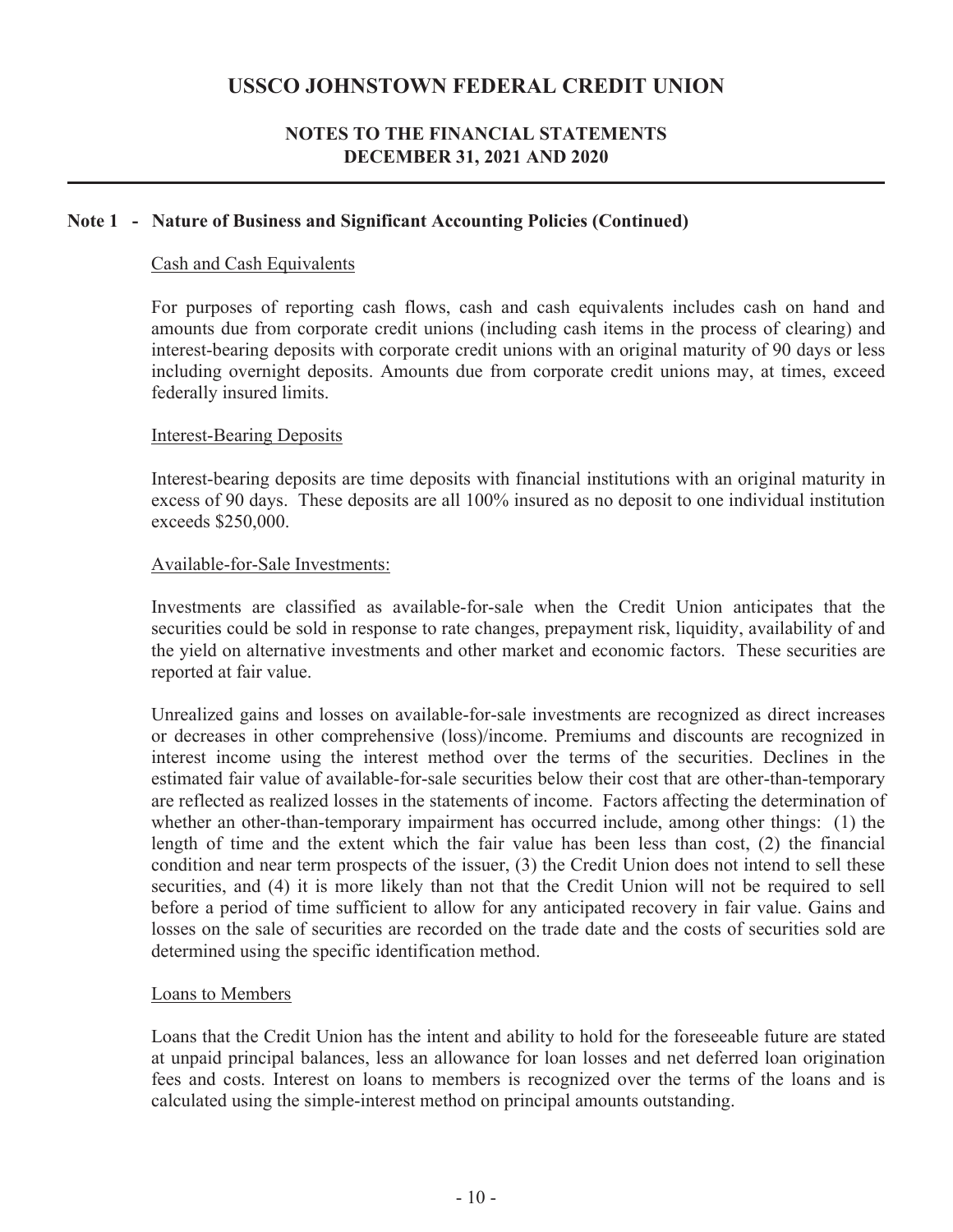### **NOTES TO THE FINANCIAL STATEMENTS DECEMBER 31, 2021 AND 2020**

### **Note 1 - Nature of Business and Significant Accounting Policies (Continued)**

### Cash and Cash Equivalents

 For purposes of reporting cash flows, cash and cash equivalents includes cash on hand and amounts due from corporate credit unions (including cash items in the process of clearing) and interest-bearing deposits with corporate credit unions with an original maturity of 90 days or less including overnight deposits. Amounts due from corporate credit unions may, at times, exceed federally insured limits.

### Interest-Bearing Deposits

 Interest-bearing deposits are time deposits with financial institutions with an original maturity in excess of 90 days. These deposits are all 100% insured as no deposit to one individual institution exceeds \$250,000.

### Available-for-Sale Investments:

 Investments are classified as available-for-sale when the Credit Union anticipates that the securities could be sold in response to rate changes, prepayment risk, liquidity, availability of and the yield on alternative investments and other market and economic factors. These securities are reported at fair value.

 Unrealized gains and losses on available-for-sale investments are recognized as direct increases or decreases in other comprehensive (loss)/income. Premiums and discounts are recognized in interest income using the interest method over the terms of the securities. Declines in the estimated fair value of available-for-sale securities below their cost that are other-than-temporary are reflected as realized losses in the statements of income. Factors affecting the determination of whether an other-than-temporary impairment has occurred include, among other things: (1) the length of time and the extent which the fair value has been less than cost, (2) the financial condition and near term prospects of the issuer, (3) the Credit Union does not intend to sell these securities, and (4) it is more likely than not that the Credit Union will not be required to sell before a period of time sufficient to allow for any anticipated recovery in fair value. Gains and losses on the sale of securities are recorded on the trade date and the costs of securities sold are determined using the specific identification method.

### Loans to Members

 Loans that the Credit Union has the intent and ability to hold for the foreseeable future are stated at unpaid principal balances, less an allowance for loan losses and net deferred loan origination fees and costs. Interest on loans to members is recognized over the terms of the loans and is calculated using the simple-interest method on principal amounts outstanding.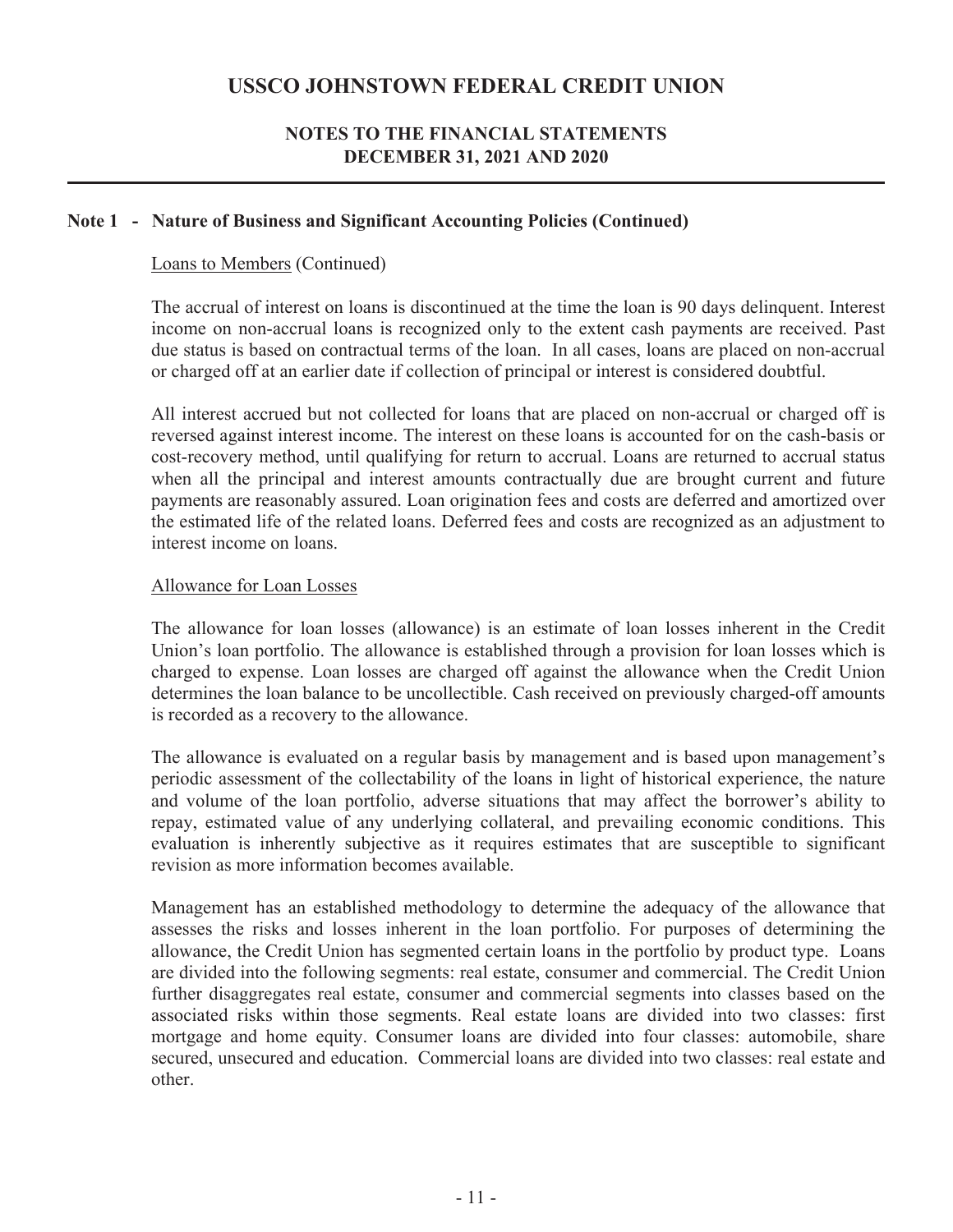### **NOTES TO THE FINANCIAL STATEMENTS DECEMBER 31, 2021 AND 2020**

### **Note 1 - Nature of Business and Significant Accounting Policies (Continued)**

### Loans to Members (Continued)

The accrual of interest on loans is discontinued at the time the loan is 90 days delinquent. Interest income on non-accrual loans is recognized only to the extent cash payments are received. Past due status is based on contractual terms of the loan. In all cases, loans are placed on non-accrual or charged off at an earlier date if collection of principal or interest is considered doubtful.

All interest accrued but not collected for loans that are placed on non-accrual or charged off is reversed against interest income. The interest on these loans is accounted for on the cash-basis or cost-recovery method, until qualifying for return to accrual. Loans are returned to accrual status when all the principal and interest amounts contractually due are brought current and future payments are reasonably assured. Loan origination fees and costs are deferred and amortized over the estimated life of the related loans. Deferred fees and costs are recognized as an adjustment to interest income on loans.

### Allowance for Loan Losses

The allowance for loan losses (allowance) is an estimate of loan losses inherent in the Credit Union's loan portfolio. The allowance is established through a provision for loan losses which is charged to expense. Loan losses are charged off against the allowance when the Credit Union determines the loan balance to be uncollectible. Cash received on previously charged-off amounts is recorded as a recovery to the allowance.

The allowance is evaluated on a regular basis by management and is based upon management's periodic assessment of the collectability of the loans in light of historical experience, the nature and volume of the loan portfolio, adverse situations that may affect the borrower's ability to repay, estimated value of any underlying collateral, and prevailing economic conditions. This evaluation is inherently subjective as it requires estimates that are susceptible to significant revision as more information becomes available.

Management has an established methodology to determine the adequacy of the allowance that assesses the risks and losses inherent in the loan portfolio. For purposes of determining the allowance, the Credit Union has segmented certain loans in the portfolio by product type. Loans are divided into the following segments: real estate, consumer and commercial. The Credit Union further disaggregates real estate, consumer and commercial segments into classes based on the associated risks within those segments. Real estate loans are divided into two classes: first mortgage and home equity. Consumer loans are divided into four classes: automobile, share secured, unsecured and education. Commercial loans are divided into two classes: real estate and other.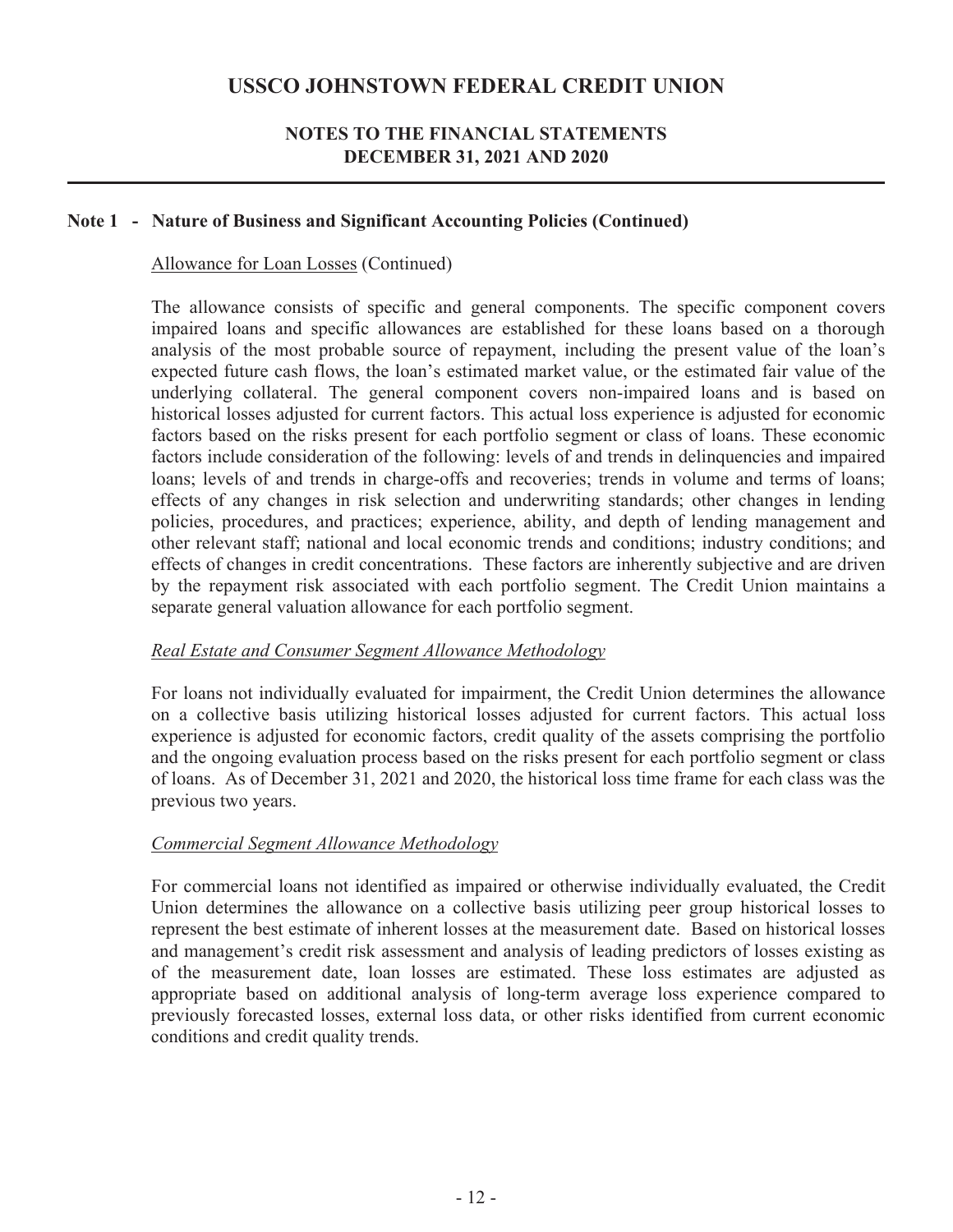### **NOTES TO THE FINANCIAL STATEMENTS DECEMBER 31, 2021 AND 2020**

### **Note 1 - Nature of Business and Significant Accounting Policies (Continued)**

#### Allowance for Loan Losses (Continued)

The allowance consists of specific and general components. The specific component covers impaired loans and specific allowances are established for these loans based on a thorough analysis of the most probable source of repayment, including the present value of the loan's expected future cash flows, the loan's estimated market value, or the estimated fair value of the underlying collateral. The general component covers non-impaired loans and is based on historical losses adjusted for current factors. This actual loss experience is adjusted for economic factors based on the risks present for each portfolio segment or class of loans. These economic factors include consideration of the following: levels of and trends in delinquencies and impaired loans; levels of and trends in charge-offs and recoveries; trends in volume and terms of loans; effects of any changes in risk selection and underwriting standards; other changes in lending policies, procedures, and practices; experience, ability, and depth of lending management and other relevant staff; national and local economic trends and conditions; industry conditions; and effects of changes in credit concentrations. These factors are inherently subjective and are driven by the repayment risk associated with each portfolio segment. The Credit Union maintains a separate general valuation allowance for each portfolio segment.

### *Real Estate and Consumer Segment Allowance Methodology*

For loans not individually evaluated for impairment, the Credit Union determines the allowance on a collective basis utilizing historical losses adjusted for current factors. This actual loss experience is adjusted for economic factors, credit quality of the assets comprising the portfolio and the ongoing evaluation process based on the risks present for each portfolio segment or class of loans. As of December 31, 2021 and 2020, the historical loss time frame for each class was the previous two years.

### *Commercial Segment Allowance Methodology*

For commercial loans not identified as impaired or otherwise individually evaluated, the Credit Union determines the allowance on a collective basis utilizing peer group historical losses to represent the best estimate of inherent losses at the measurement date. Based on historical losses and management's credit risk assessment and analysis of leading predictors of losses existing as of the measurement date, loan losses are estimated. These loss estimates are adjusted as appropriate based on additional analysis of long-term average loss experience compared to previously forecasted losses, external loss data, or other risks identified from current economic conditions and credit quality trends.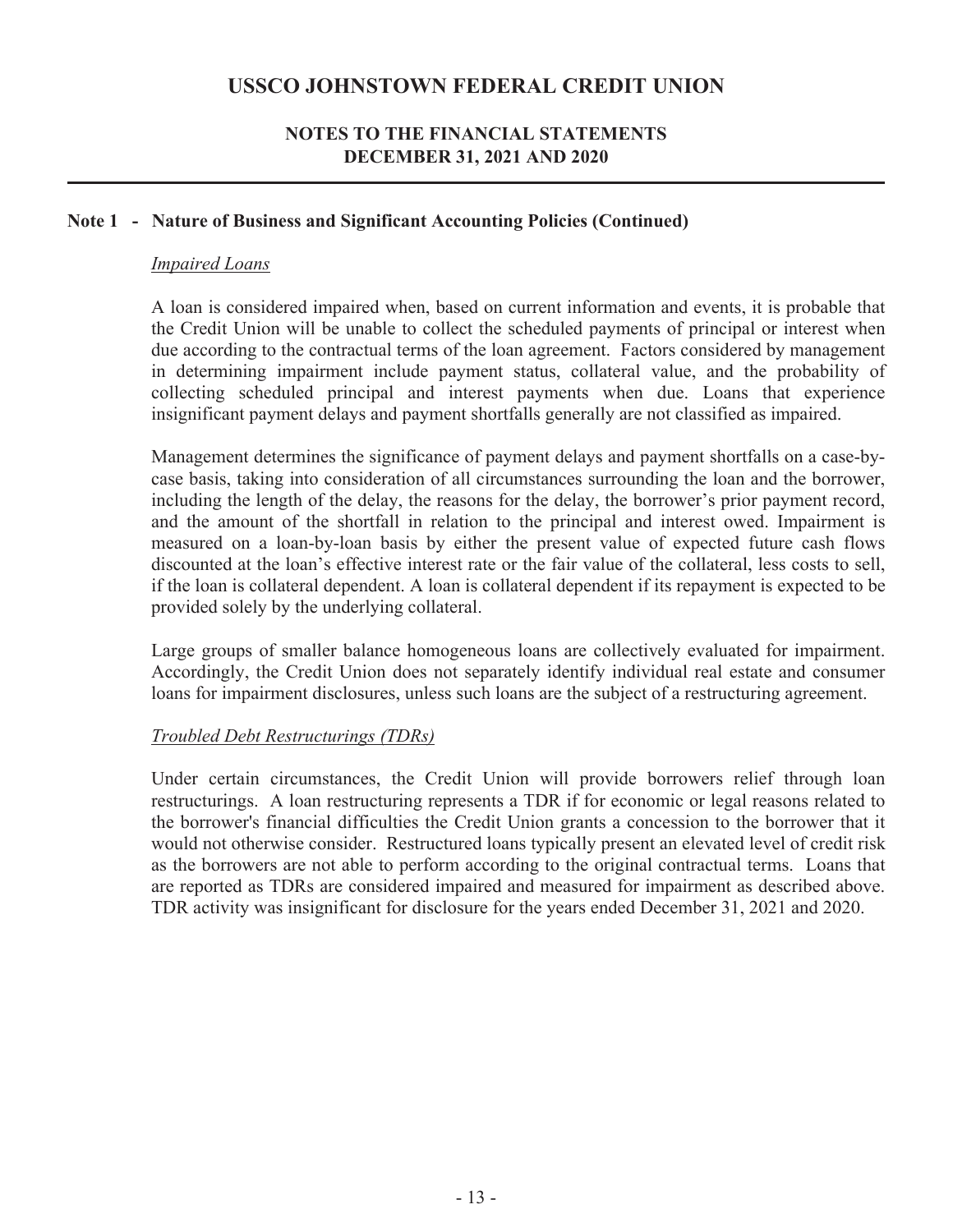### **NOTES TO THE FINANCIAL STATEMENTS DECEMBER 31, 2021 AND 2020**

### **Note 1 - Nature of Business and Significant Accounting Policies (Continued)**

### *Impaired Loans*

A loan is considered impaired when, based on current information and events, it is probable that the Credit Union will be unable to collect the scheduled payments of principal or interest when due according to the contractual terms of the loan agreement. Factors considered by management in determining impairment include payment status, collateral value, and the probability of collecting scheduled principal and interest payments when due. Loans that experience insignificant payment delays and payment shortfalls generally are not classified as impaired.

Management determines the significance of payment delays and payment shortfalls on a case-bycase basis, taking into consideration of all circumstances surrounding the loan and the borrower, including the length of the delay, the reasons for the delay, the borrower's prior payment record, and the amount of the shortfall in relation to the principal and interest owed. Impairment is measured on a loan-by-loan basis by either the present value of expected future cash flows discounted at the loan's effective interest rate or the fair value of the collateral, less costs to sell, if the loan is collateral dependent. A loan is collateral dependent if its repayment is expected to be provided solely by the underlying collateral.

Large groups of smaller balance homogeneous loans are collectively evaluated for impairment. Accordingly, the Credit Union does not separately identify individual real estate and consumer loans for impairment disclosures, unless such loans are the subject of a restructuring agreement.

### *Troubled Debt Restructurings (TDRs)*

Under certain circumstances, the Credit Union will provide borrowers relief through loan restructurings. A loan restructuring represents a TDR if for economic or legal reasons related to the borrower's financial difficulties the Credit Union grants a concession to the borrower that it would not otherwise consider. Restructured loans typically present an elevated level of credit risk as the borrowers are not able to perform according to the original contractual terms. Loans that are reported as TDRs are considered impaired and measured for impairment as described above. TDR activity was insignificant for disclosure for the years ended December 31, 2021 and 2020.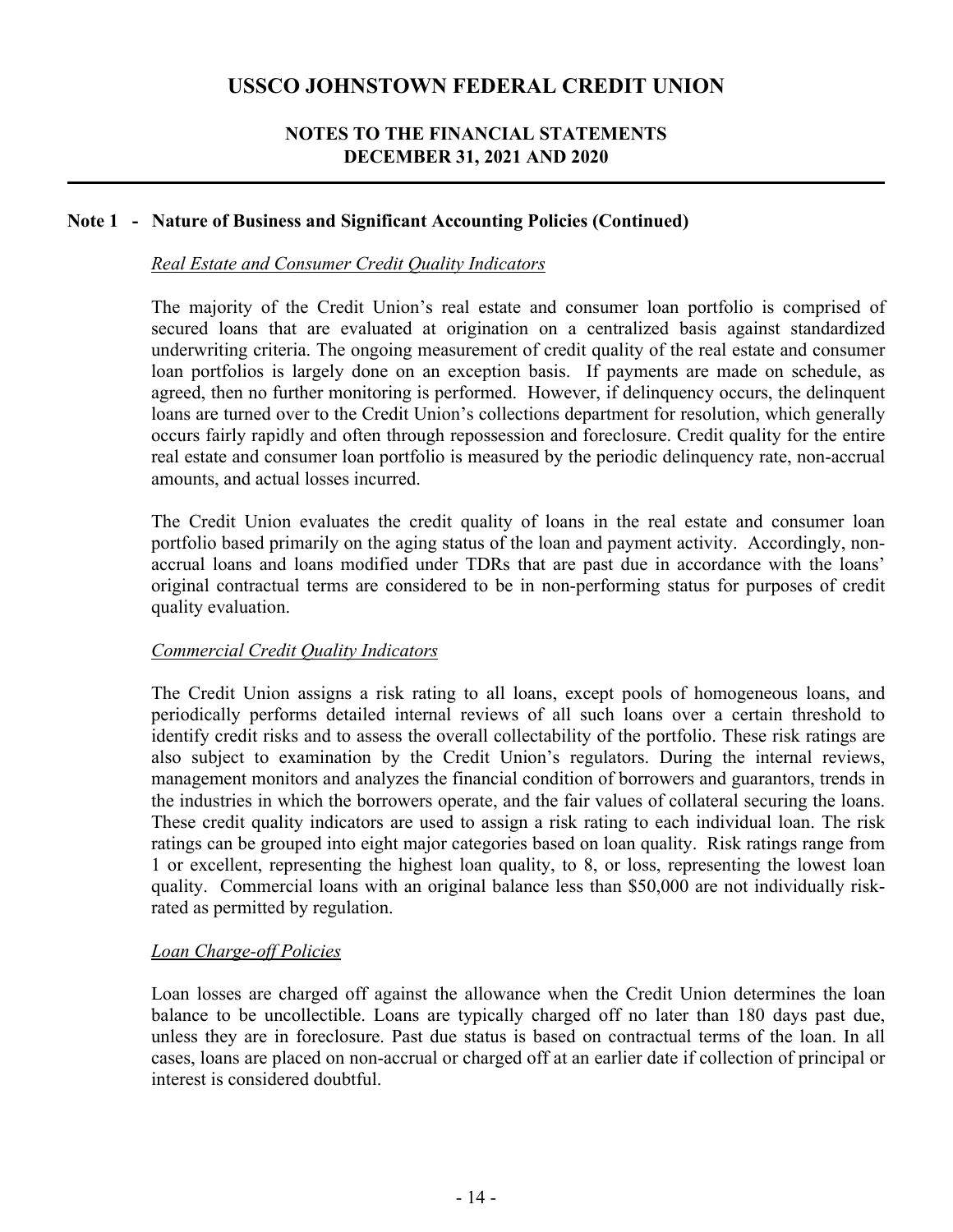### **NOTES TO THE FINANCIAL STATEMENTS DECEMBER 31, 2021 AND 2020**

### **Note 1 - Nature of Business and Significant Accounting Policies (Continued)**

### *Real Estate and Consumer Credit Quality Indicators*

The majority of the Credit Union's real estate and consumer loan portfolio is comprised of secured loans that are evaluated at origination on a centralized basis against standardized underwriting criteria. The ongoing measurement of credit quality of the real estate and consumer loan portfolios is largely done on an exception basis. If payments are made on schedule, as agreed, then no further monitoring is performed. However, if delinquency occurs, the delinquent loans are turned over to the Credit Union's collections department for resolution, which generally occurs fairly rapidly and often through repossession and foreclosure. Credit quality for the entire real estate and consumer loan portfolio is measured by the periodic delinquency rate, non-accrual amounts, and actual losses incurred.

The Credit Union evaluates the credit quality of loans in the real estate and consumer loan portfolio based primarily on the aging status of the loan and payment activity. Accordingly, nonaccrual loans and loans modified under TDRs that are past due in accordance with the loans' original contractual terms are considered to be in non-performing status for purposes of credit quality evaluation.

### *Commercial Credit Quality Indicators*

The Credit Union assigns a risk rating to all loans, except pools of homogeneous loans, and periodically performs detailed internal reviews of all such loans over a certain threshold to identify credit risks and to assess the overall collectability of the portfolio. These risk ratings are also subject to examination by the Credit Union's regulators. During the internal reviews, management monitors and analyzes the financial condition of borrowers and guarantors, trends in the industries in which the borrowers operate, and the fair values of collateral securing the loans. These credit quality indicators are used to assign a risk rating to each individual loan. The risk ratings can be grouped into eight major categories based on loan quality. Risk ratings range from 1 or excellent, representing the highest loan quality, to 8, or loss, representing the lowest loan quality. Commercial loans with an original balance less than \$50,000 are not individually riskrated as permitted by regulation.

### *Loan Charge-off Policies*

Loan losses are charged off against the allowance when the Credit Union determines the loan balance to be uncollectible. Loans are typically charged off no later than 180 days past due, unless they are in foreclosure. Past due status is based on contractual terms of the loan. In all cases, loans are placed on non-accrual or charged off at an earlier date if collection of principal or interest is considered doubtful.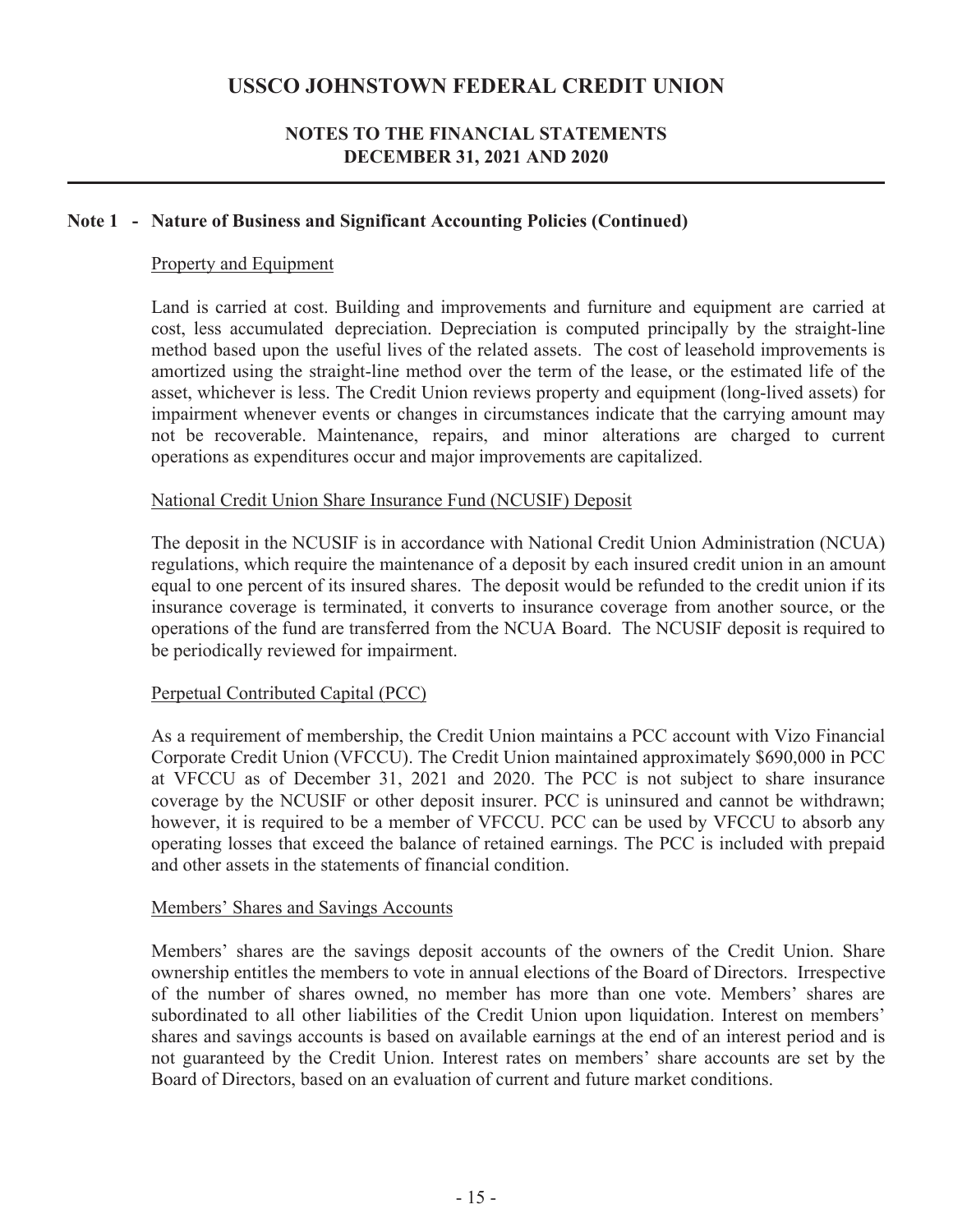### **NOTES TO THE FINANCIAL STATEMENTS DECEMBER 31, 2021 AND 2020**

### **Note 1 - Nature of Business and Significant Accounting Policies (Continued)**

#### Property and Equipment

 Land is carried at cost. Building and improvements and furniture and equipment are carried at cost, less accumulated depreciation. Depreciation is computed principally by the straight-line method based upon the useful lives of the related assets. The cost of leasehold improvements is amortized using the straight-line method over the term of the lease, or the estimated life of the asset, whichever is less. The Credit Union reviews property and equipment (long-lived assets) for impairment whenever events or changes in circumstances indicate that the carrying amount may not be recoverable. Maintenance, repairs, and minor alterations are charged to current operations as expenditures occur and major improvements are capitalized.

#### National Credit Union Share Insurance Fund (NCUSIF) Deposit

 The deposit in the NCUSIF is in accordance with National Credit Union Administration (NCUA) regulations, which require the maintenance of a deposit by each insured credit union in an amount equal to one percent of its insured shares. The deposit would be refunded to the credit union if its insurance coverage is terminated, it converts to insurance coverage from another source, or the operations of the fund are transferred from the NCUA Board. The NCUSIF deposit is required to be periodically reviewed for impairment.

### Perpetual Contributed Capital (PCC)

 As a requirement of membership, the Credit Union maintains a PCC account with Vizo Financial Corporate Credit Union (VFCCU). The Credit Union maintained approximately \$690,000 in PCC at VFCCU as of December 31, 2021 and 2020. The PCC is not subject to share insurance coverage by the NCUSIF or other deposit insurer. PCC is uninsured and cannot be withdrawn; however, it is required to be a member of VFCCU. PCC can be used by VFCCU to absorb any operating losses that exceed the balance of retained earnings. The PCC is included with prepaid and other assets in the statements of financial condition.

### Members' Shares and Savings Accounts

 Members' shares are the savings deposit accounts of the owners of the Credit Union. Share ownership entitles the members to vote in annual elections of the Board of Directors. Irrespective of the number of shares owned, no member has more than one vote. Members' shares are subordinated to all other liabilities of the Credit Union upon liquidation. Interest on members' shares and savings accounts is based on available earnings at the end of an interest period and is not guaranteed by the Credit Union. Interest rates on members' share accounts are set by the Board of Directors, based on an evaluation of current and future market conditions.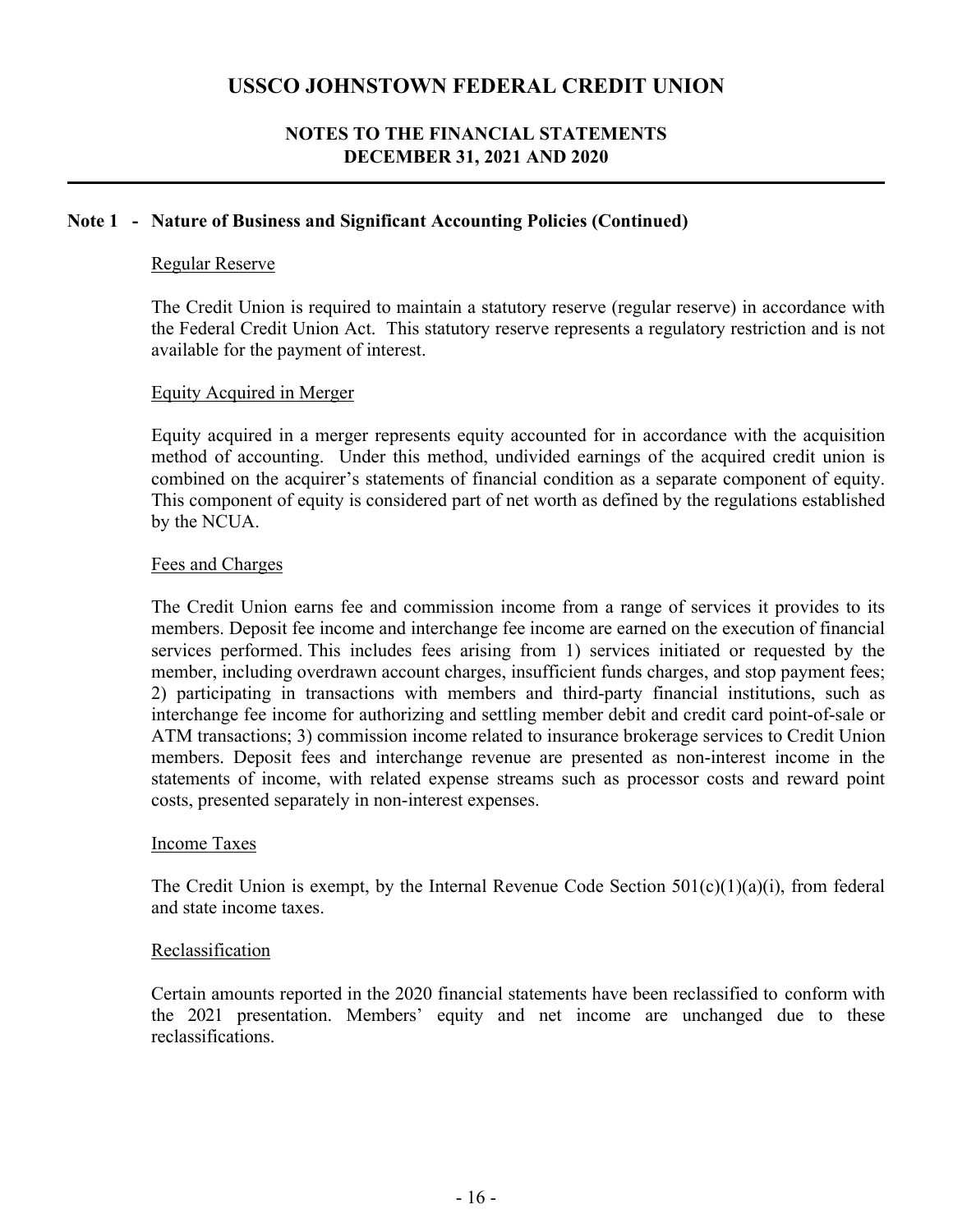### **NOTES TO THE FINANCIAL STATEMENTS DECEMBER 31, 2021 AND 2020**

### **Note 1 - Nature of Business and Significant Accounting Policies (Continued)**

#### Regular Reserve

 The Credit Union is required to maintain a statutory reserve (regular reserve) in accordance with the Federal Credit Union Act. This statutory reserve represents a regulatory restriction and is not available for the payment of interest.

### Equity Acquired in Merger

 Equity acquired in a merger represents equity accounted for in accordance with the acquisition method of accounting. Under this method, undivided earnings of the acquired credit union is combined on the acquirer's statements of financial condition as a separate component of equity. This component of equity is considered part of net worth as defined by the regulations established by the NCUA.

#### Fees and Charges

The Credit Union earns fee and commission income from a range of services it provides to its members. Deposit fee income and interchange fee income are earned on the execution of financial services performed. This includes fees arising from 1) services initiated or requested by the member, including overdrawn account charges, insufficient funds charges, and stop payment fees; 2) participating in transactions with members and third-party financial institutions, such as interchange fee income for authorizing and settling member debit and credit card point-of-sale or ATM transactions; 3) commission income related to insurance brokerage services to Credit Union members. Deposit fees and interchange revenue are presented as non-interest income in the statements of income, with related expense streams such as processor costs and reward point costs, presented separately in non-interest expenses.

### Income Taxes

The Credit Union is exempt, by the Internal Revenue Code Section  $501(c)(1)(a)(i)$ , from federal and state income taxes.

#### Reclassification

 Certain amounts reported in the 2020 financial statements have been reclassified to conform with the 2021 presentation. Members' equity and net income are unchanged due to these reclassifications.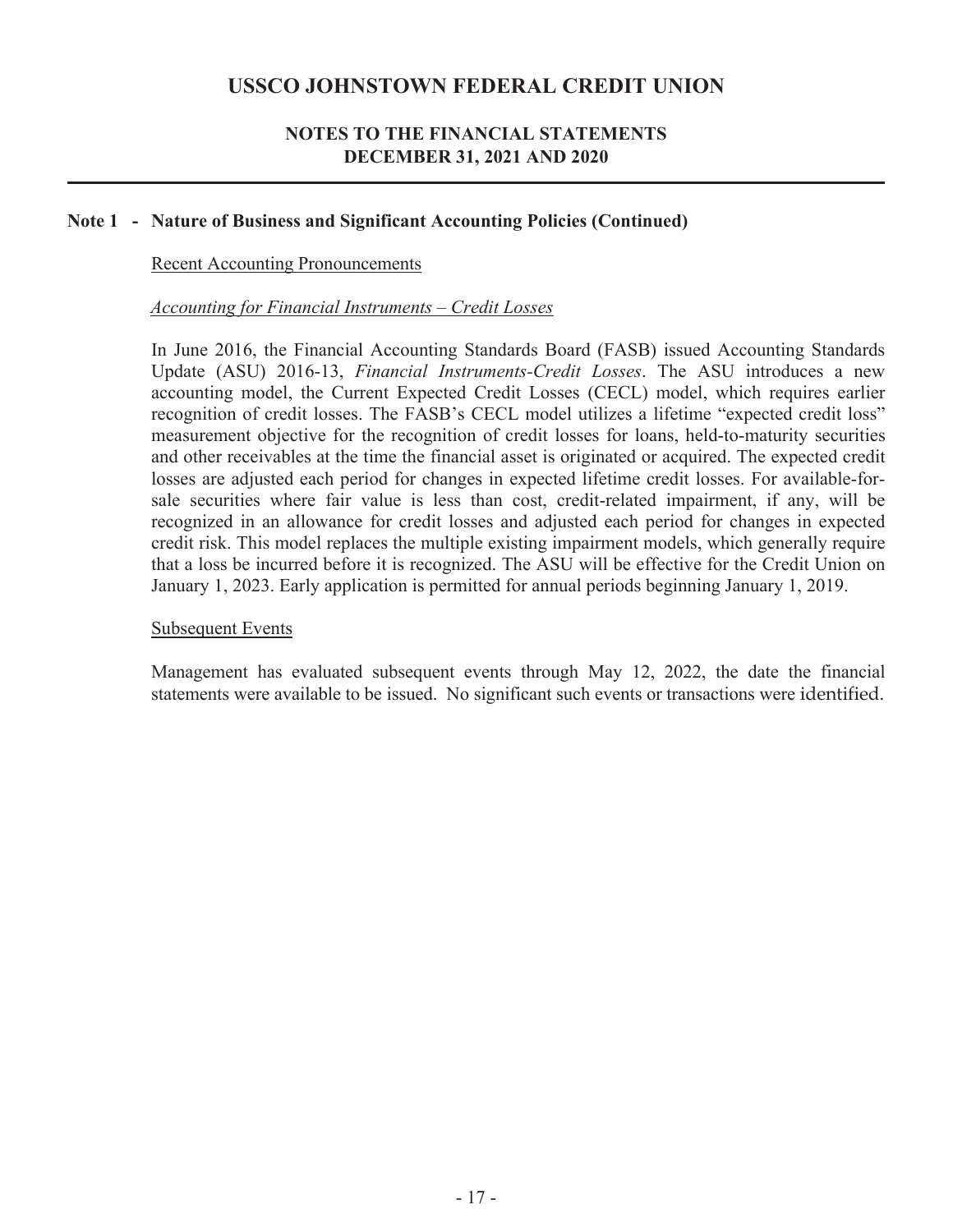### **NOTES TO THE FINANCIAL STATEMENTS DECEMBER 31, 2021 AND 2020**

### **Note 1 - Nature of Business and Significant Accounting Policies (Continued)**

#### Recent Accounting Pronouncements

### *Accounting for Financial Instruments – Credit Losses*

In June 2016, the Financial Accounting Standards Board (FASB) issued Accounting Standards Update (ASU) 2016-13, *Financial Instruments-Credit Losses*. The ASU introduces a new accounting model, the Current Expected Credit Losses (CECL) model, which requires earlier recognition of credit losses. The FASB's CECL model utilizes a lifetime "expected credit loss" measurement objective for the recognition of credit losses for loans, held-to-maturity securities and other receivables at the time the financial asset is originated or acquired. The expected credit losses are adjusted each period for changes in expected lifetime credit losses. For available-forsale securities where fair value is less than cost, credit-related impairment, if any, will be recognized in an allowance for credit losses and adjusted each period for changes in expected credit risk. This model replaces the multiple existing impairment models, which generally require that a loss be incurred before it is recognized. The ASU will be effective for the Credit Union on January 1, 2023. Early application is permitted for annual periods beginning January 1, 2019.

### Subsequent Events

 Management has evaluated subsequent events through May 12, 2022, the date the financial statements were available to be issued. No significant such events or transactions were identified.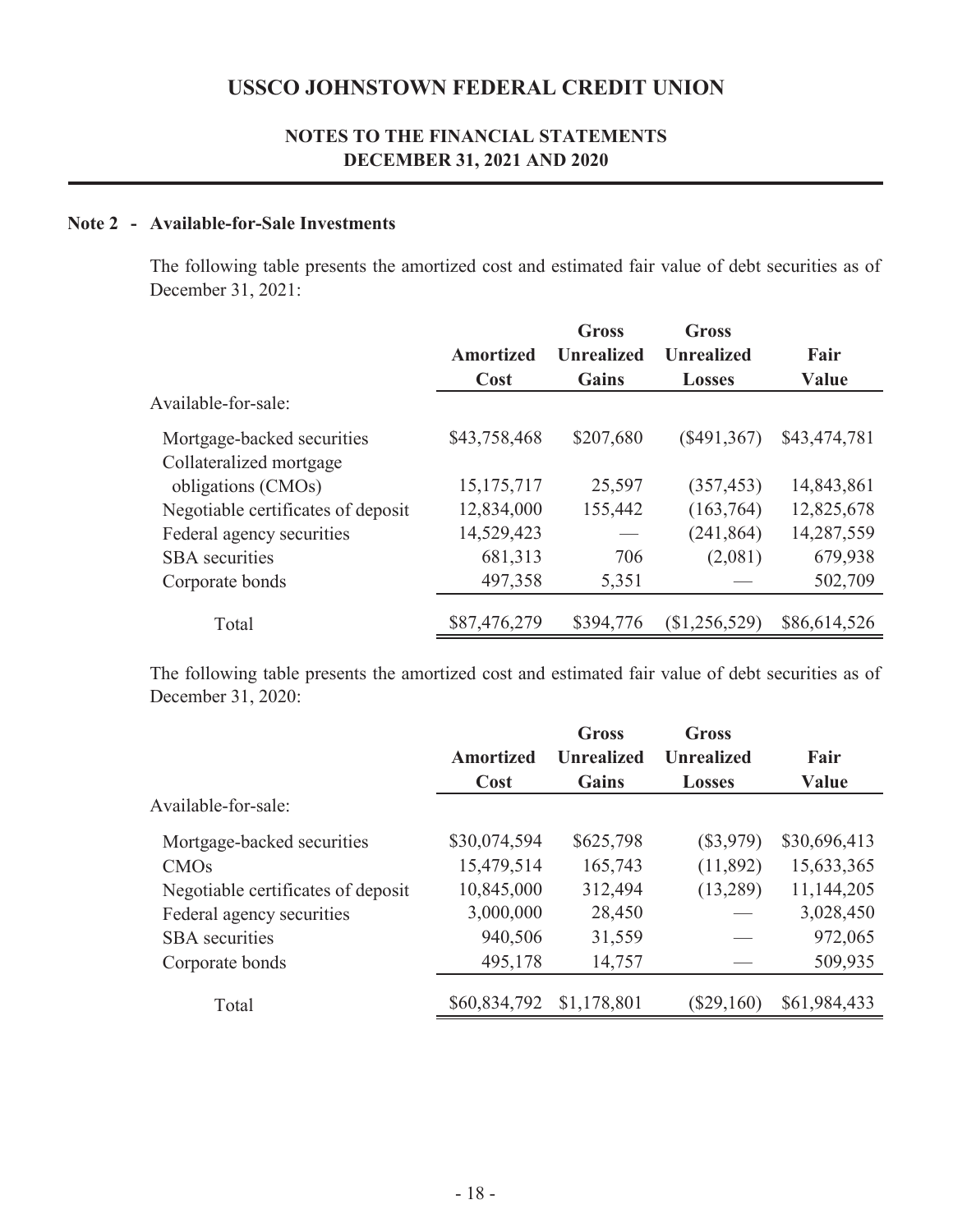### **NOTES TO THE FINANCIAL STATEMENTS DECEMBER 31, 2021 AND 2020**

### **Note 2 - Available-for-Sale Investments**

The following table presents the amortized cost and estimated fair value of debt securities as of December 31, 2021:

|                                    | <b>Amortized</b><br>Cost | Gross<br><b>Unrealized</b><br><b>Gains</b> | <b>Gross</b><br><b>Unrealized</b><br><b>Losses</b> | Fair<br>Value |
|------------------------------------|--------------------------|--------------------------------------------|----------------------------------------------------|---------------|
| Available-for-sale:                |                          |                                            |                                                    |               |
| Mortgage-backed securities         | \$43,758,468             | \$207,680                                  | $(\$491,367)$                                      | \$43,474,781  |
| Collateralized mortgage            |                          |                                            |                                                    |               |
| obligations (CMOs)                 | 15, 175, 717             | 25,597                                     | (357, 453)                                         | 14,843,861    |
| Negotiable certificates of deposit | 12,834,000               | 155,442                                    | (163,764)                                          | 12,825,678    |
| Federal agency securities          | 14,529,423               |                                            | (241, 864)                                         | 14,287,559    |
| <b>SBA</b> securities              | 681,313                  | 706                                        | (2,081)                                            | 679,938       |
| Corporate bonds                    | 497,358                  | 5,351                                      |                                                    | 502,709       |
| Total                              | \$87,476,279             | \$394,776                                  | (\$1,256,529)                                      | \$86,614,526  |

The following table presents the amortized cost and estimated fair value of debt securities as of December 31, 2020:

|                                    | <b>Amortized</b><br>Cost | <b>Gross</b><br><b>Unrealized</b><br>Gains | Gross<br><b>Unrealized</b><br><b>Losses</b> | Fair<br>Value |
|------------------------------------|--------------------------|--------------------------------------------|---------------------------------------------|---------------|
| Available-for-sale:                |                          |                                            |                                             |               |
| Mortgage-backed securities         | \$30,074,594             | \$625,798                                  | $(\$3,979)$                                 | \$30,696,413  |
| CMOs                               | 15,479,514               | 165,743                                    | (11,892)                                    | 15,633,365    |
| Negotiable certificates of deposit | 10,845,000               | 312,494                                    | (13,289)                                    | 11,144,205    |
| Federal agency securities          | 3,000,000                | 28,450                                     |                                             | 3,028,450     |
| <b>SBA</b> securities              | 940,506                  | 31,559                                     |                                             | 972,065       |
| Corporate bonds                    | 495,178                  | 14,757                                     |                                             | 509,935       |
| Total                              | \$60,834,792             | \$1,178,801                                | $(\$29,160)$                                | \$61,984,433  |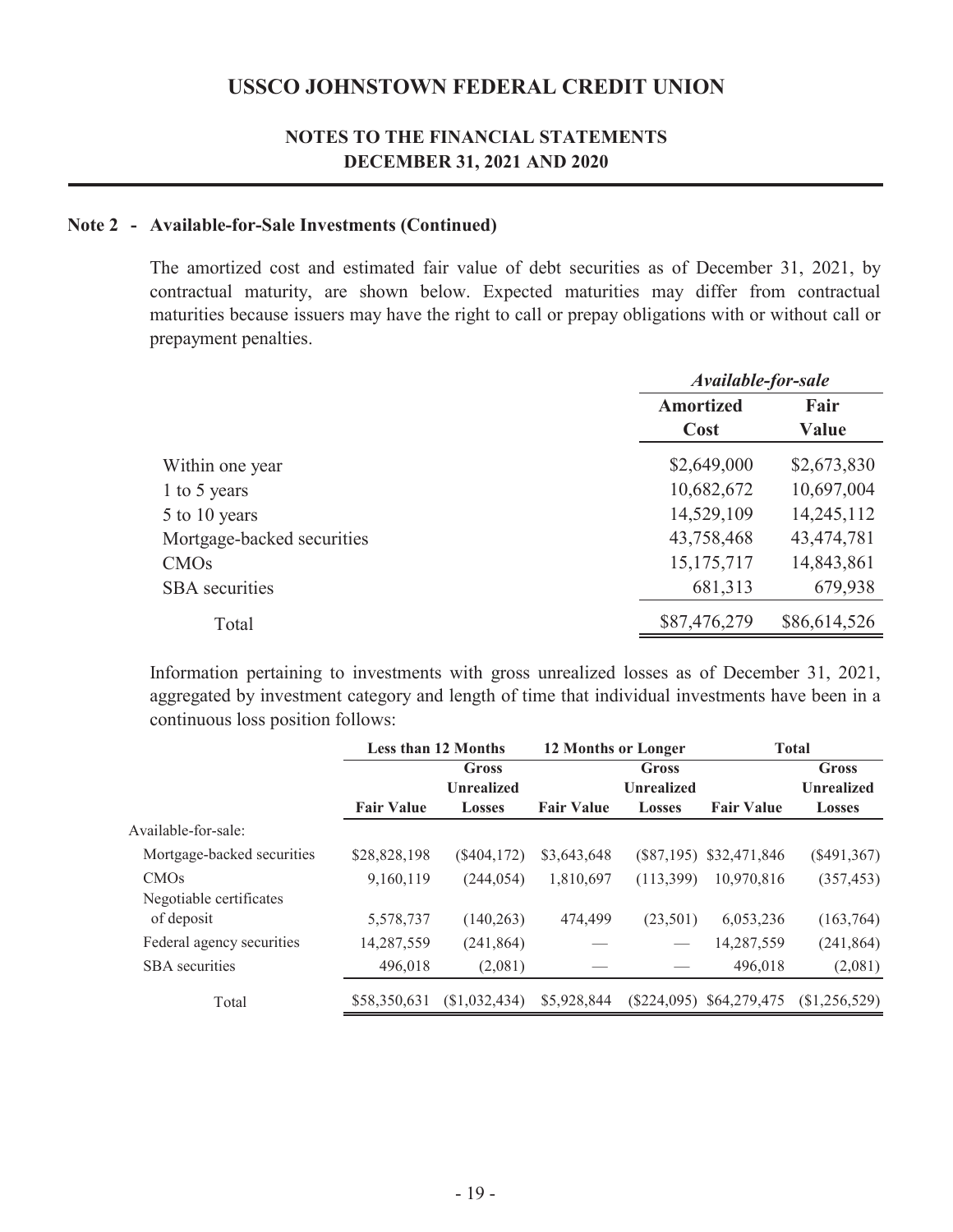### **NOTES TO THE FINANCIAL STATEMENTS DECEMBER 31, 2021 AND 2020**

#### **Note 2 - Available-for-Sale Investments (Continued)**

The amortized cost and estimated fair value of debt securities as of December 31, 2021, by contractual maturity, are shown below. Expected maturities may differ from contractual maturities because issuers may have the right to call or prepay obligations with or without call or prepayment penalties.

|                            | Available-for-sale |              |  |
|----------------------------|--------------------|--------------|--|
|                            | <b>Amortized</b>   | Fair         |  |
|                            | Cost               | Value        |  |
| Within one year            | \$2,649,000        | \$2,673,830  |  |
| 1 to 5 years               | 10,682,672         | 10,697,004   |  |
| 5 to 10 years              | 14,529,109         | 14,245,112   |  |
| Mortgage-backed securities | 43,758,468         | 43,474,781   |  |
| <b>CMOs</b>                | 15, 175, 717       | 14,843,861   |  |
| <b>SBA</b> securities      | 681,313            | 679,938      |  |
| Total                      | \$87,476,279       | \$86,614,526 |  |

Information pertaining to investments with gross unrealized losses as of December 31, 2021, aggregated by investment category and length of time that individual investments have been in a continuous loss position follows:

|                            |                   | <b>Less than 12 Months</b><br>12 Months or Longer |                   |                                   |                            | <b>Total</b>                      |
|----------------------------|-------------------|---------------------------------------------------|-------------------|-----------------------------------|----------------------------|-----------------------------------|
|                            |                   | Gross<br><b>Unrealized</b>                        |                   | <b>Gross</b><br><b>Unrealized</b> |                            | <b>Gross</b><br><b>Unrealized</b> |
|                            | <b>Fair Value</b> | <b>Losses</b>                                     | <b>Fair Value</b> | <b>Losses</b>                     | <b>Fair Value</b>          | <b>Losses</b>                     |
| Available-for-sale:        |                   |                                                   |                   |                                   |                            |                                   |
| Mortgage-backed securities | \$28,828,198      | $(\$404,172)$                                     | \$3,643,648       |                                   | $(\$87,195)$ \$32,471,846  | $(\$491,367)$                     |
| CMOs                       | 9,160,119         | (244, 054)                                        | 1,810,697         | (113,399)                         | 10,970,816                 | (357, 453)                        |
| Negotiable certificates    |                   |                                                   |                   |                                   |                            |                                   |
| of deposit                 | 5,578,737         | (140, 263)                                        | 474,499           | (23,501)                          | 6,053,236                  | (163, 764)                        |
| Federal agency securities  | 14,287,559        | (241, 864)                                        |                   |                                   | 14,287,559                 | (241, 864)                        |
| <b>SBA</b> securities      | 496,018           | (2,081)                                           |                   |                                   | 496,018                    | (2,081)                           |
| Total                      | \$58,350,631      | (S1.032.434)                                      | \$5,928,844       |                                   | $(\$224,095)$ \$64,279,475 | (\$1,256,529)                     |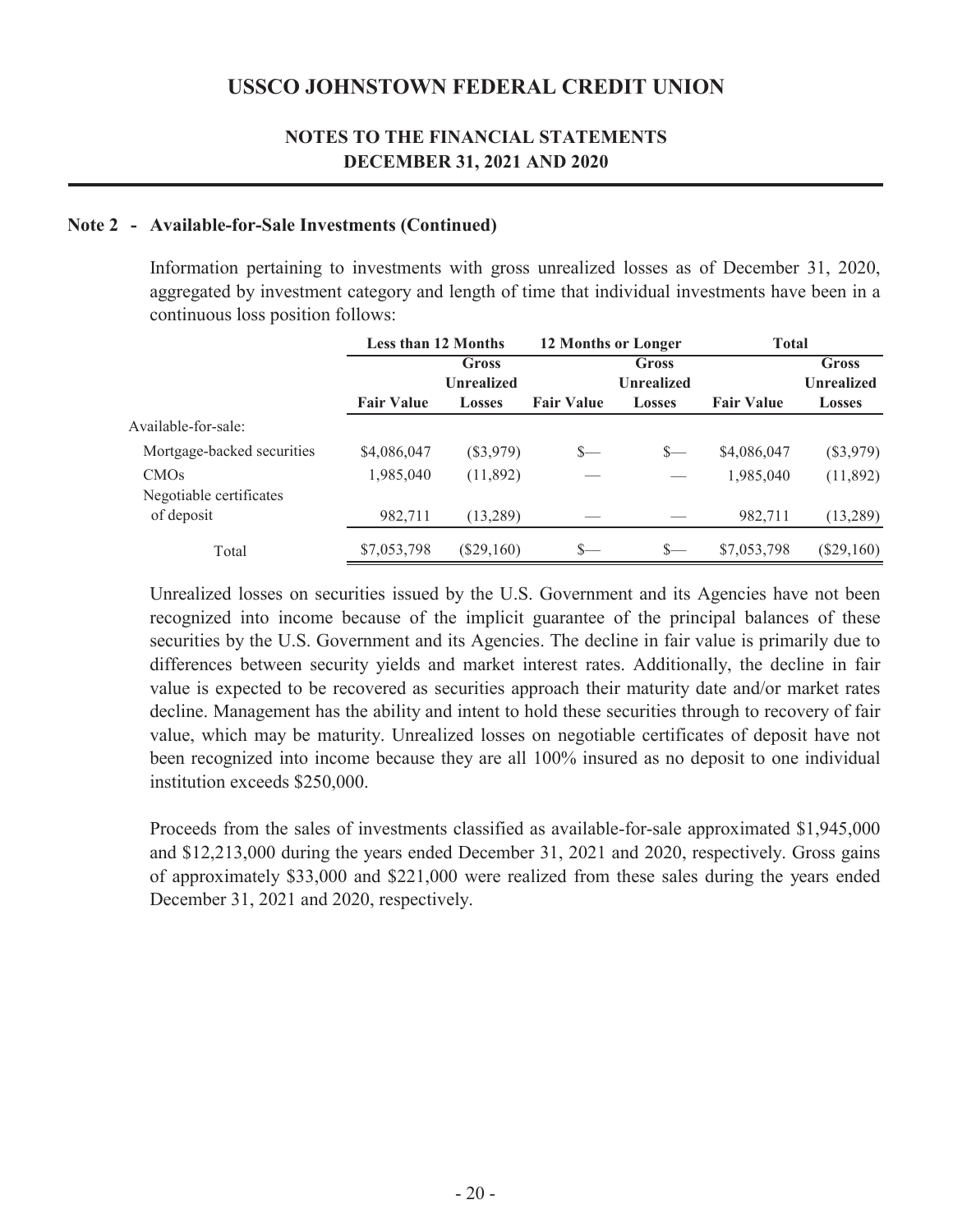### **NOTES TO THE FINANCIAL STATEMENTS DECEMBER 31, 2021 AND 2020**

#### **Note 2 - Available-for-Sale Investments (Continued)**

Information pertaining to investments with gross unrealized losses as of December 31, 2020, aggregated by investment category and length of time that individual investments have been in a continuous loss position follows:

|                                       | <b>Less than 12 Months</b> |                                                    | <b>12 Months or Longer</b> |                                             | <b>Total</b>      |                                                    |
|---------------------------------------|----------------------------|----------------------------------------------------|----------------------------|---------------------------------------------|-------------------|----------------------------------------------------|
|                                       | <b>Fair Value</b>          | <b>Gross</b><br><b>Unrealized</b><br><b>Losses</b> | <b>Fair Value</b>          | Gross<br><b>Unrealized</b><br><b>Losses</b> | <b>Fair Value</b> | <b>Gross</b><br><b>Unrealized</b><br><b>Losses</b> |
| Available-for-sale:                   |                            |                                                    |                            |                                             |                   |                                                    |
| Mortgage-backed securities            | \$4,086,047                | $(\$3,979)$                                        | $S-$                       | $S-$                                        | \$4,086,047       | $(\$3,979)$                                        |
| CMOs                                  | 1,985,040                  | (11,892)                                           |                            |                                             | 1,985,040         | (11,892)                                           |
| Negotiable certificates<br>of deposit | 982.711                    | (13,289)                                           |                            |                                             | 982,711           | (13,289)                                           |
| Total                                 | \$7,053,798                | $(\$29,160)$                                       | $S-$                       | $S-$                                        | \$7,053,798       | $(\$29,160)$                                       |

Unrealized losses on securities issued by the U.S. Government and its Agencies have not been recognized into income because of the implicit guarantee of the principal balances of these securities by the U.S. Government and its Agencies. The decline in fair value is primarily due to differences between security yields and market interest rates. Additionally, the decline in fair value is expected to be recovered as securities approach their maturity date and/or market rates decline. Management has the ability and intent to hold these securities through to recovery of fair value, which may be maturity. Unrealized losses on negotiable certificates of deposit have not been recognized into income because they are all  $100\%$  insured as no deposit to one individual institution exceeds \$250,000.

Proceeds from the sales of investments classified as available-for-sale approximated  $$1,945,000$ and  $$12,213,000$  during the years ended December 31, 2021 and 2020, respectively. Gross gains of approximately  $$33,000$  and  $$221,000$  were realized from these sales during the years ended December 31, 2021 and 2020, respectively.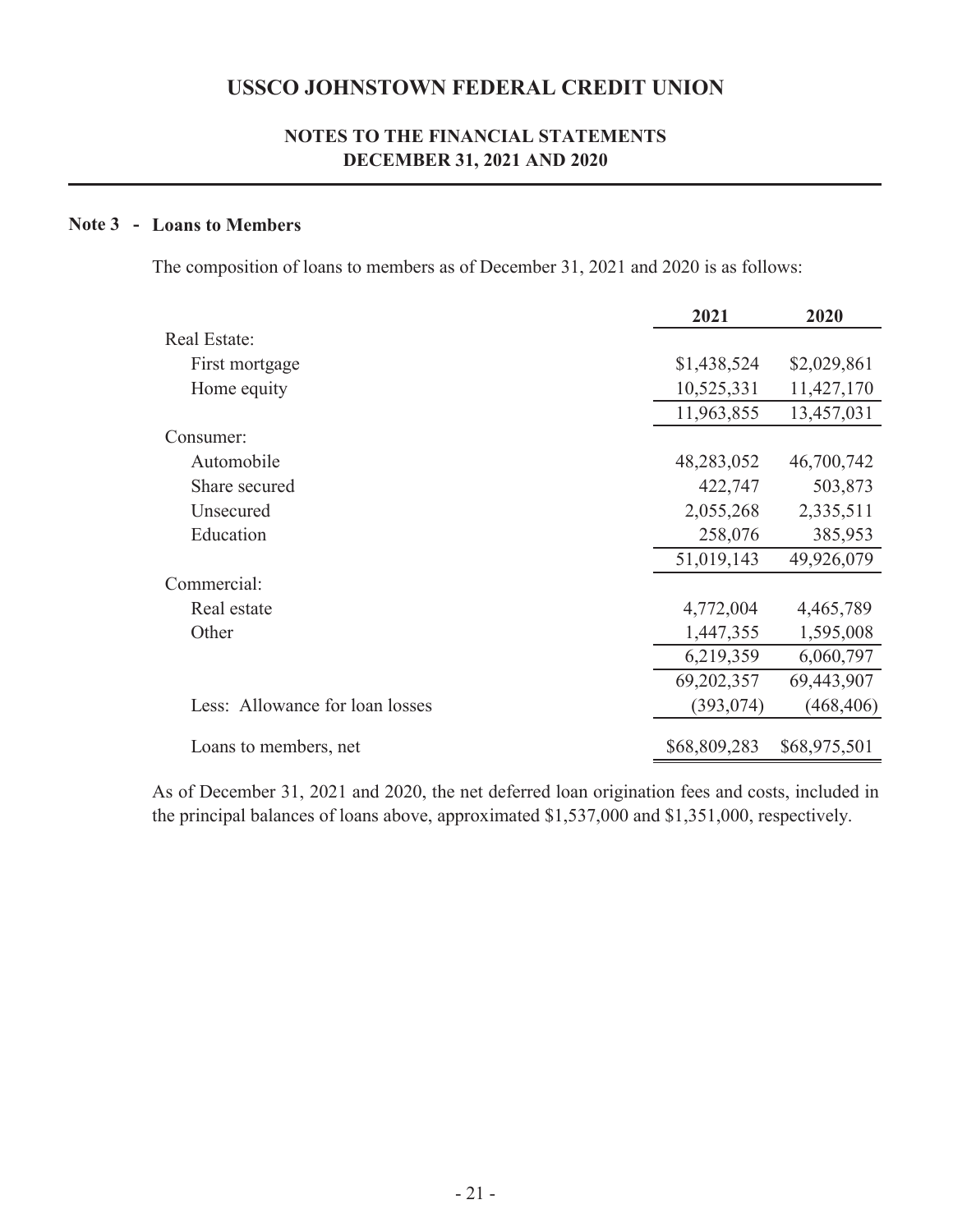### **NOTES TO THE FINANCIAL STATEMENTS DECEMBER 31, 2021 AND 2020**

### **Note 3 - Loans to Members**

The composition of loans to members as of December 31, 2021 and 2020 is as follows:

|                                 | 2021         | 2020         |
|---------------------------------|--------------|--------------|
| Real Estate:                    |              |              |
| First mortgage                  | \$1,438,524  | \$2,029,861  |
| Home equity                     | 10,525,331   | 11,427,170   |
|                                 | 11,963,855   | 13,457,031   |
| Consumer:                       |              |              |
| Automobile                      | 48,283,052   | 46,700,742   |
| Share secured                   | 422,747      | 503,873      |
| Unsecured                       | 2,055,268    | 2,335,511    |
| Education                       | 258,076      | 385,953      |
|                                 | 51,019,143   | 49,926,079   |
| Commercial:                     |              |              |
| Real estate                     | 4,772,004    | 4,465,789    |
| Other                           | 1,447,355    | 1,595,008    |
|                                 | 6,219,359    | 6,060,797    |
|                                 | 69,202,357   | 69,443,907   |
| Less: Allowance for loan losses | (393, 074)   | (468, 406)   |
| Loans to members, net           | \$68,809,283 | \$68,975,501 |

As of December 31, 2021 and 2020, the net deferred loan origination fees and costs, included in the principal balances of loans above, approximated \$1,537,000 and \$1,351,000, respectively.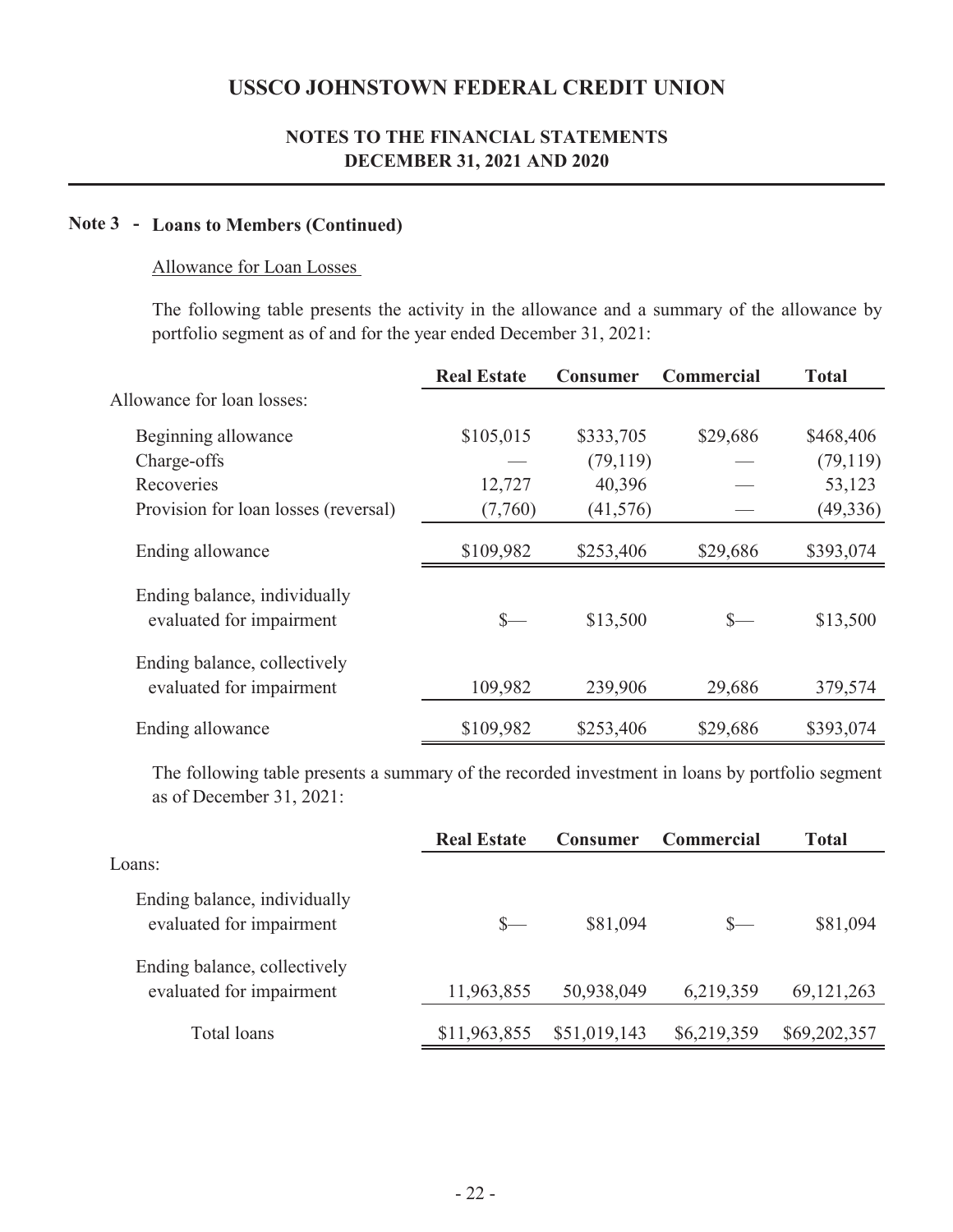### **NOTES TO THE FINANCIAL STATEMENTS DECEMBER 31, 2021 AND 2020**

### **Note 3 - Loans to Members (Continued)**

Allowance for Loan Losses

The following table presents the activity in the allowance and a summary of the allowance by portfolio segment as of and for the year ended December 31, 2021:

|                                                          | <b>Real Estate</b> | Consumer  | <b>Commercial</b> | <b>Total</b> |
|----------------------------------------------------------|--------------------|-----------|-------------------|--------------|
| Allowance for loan losses:                               |                    |           |                   |              |
| Beginning allowance                                      | \$105,015          | \$333,705 | \$29,686          | \$468,406    |
| Charge-offs                                              |                    | (79, 119) |                   | (79, 119)    |
| Recoveries                                               | 12,727             | 40,396    |                   | 53,123       |
| Provision for loan losses (reversal)                     | (7,760)            | (41, 576) |                   | (49, 336)    |
| Ending allowance                                         | \$109,982          | \$253,406 | \$29,686          | \$393,074    |
| Ending balance, individually<br>evaluated for impairment | $S-$               | \$13,500  | $S-$              | \$13,500     |
| Ending balance, collectively<br>evaluated for impairment | 109,982            | 239,906   | 29,686            | 379,574      |
| Ending allowance                                         | \$109,982          | \$253,406 | \$29,686          | \$393,074    |

The following table presents a summary of the recorded investment in loans by portfolio segment as of December 31, 2021:

|                                                          | <b>Real Estate</b> | <b>Consumer</b> | <b>Commercial</b> | Total        |
|----------------------------------------------------------|--------------------|-----------------|-------------------|--------------|
| Loans:                                                   |                    |                 |                   |              |
| Ending balance, individually<br>evaluated for impairment |                    | \$81,094        |                   | \$81,094     |
| Ending balance, collectively<br>evaluated for impairment | 11,963,855         | 50,938,049      | 6,219,359         | 69, 121, 263 |
| Total loans                                              | \$11,963,855       | \$51,019,143    | \$6,219,359       | \$69,202,357 |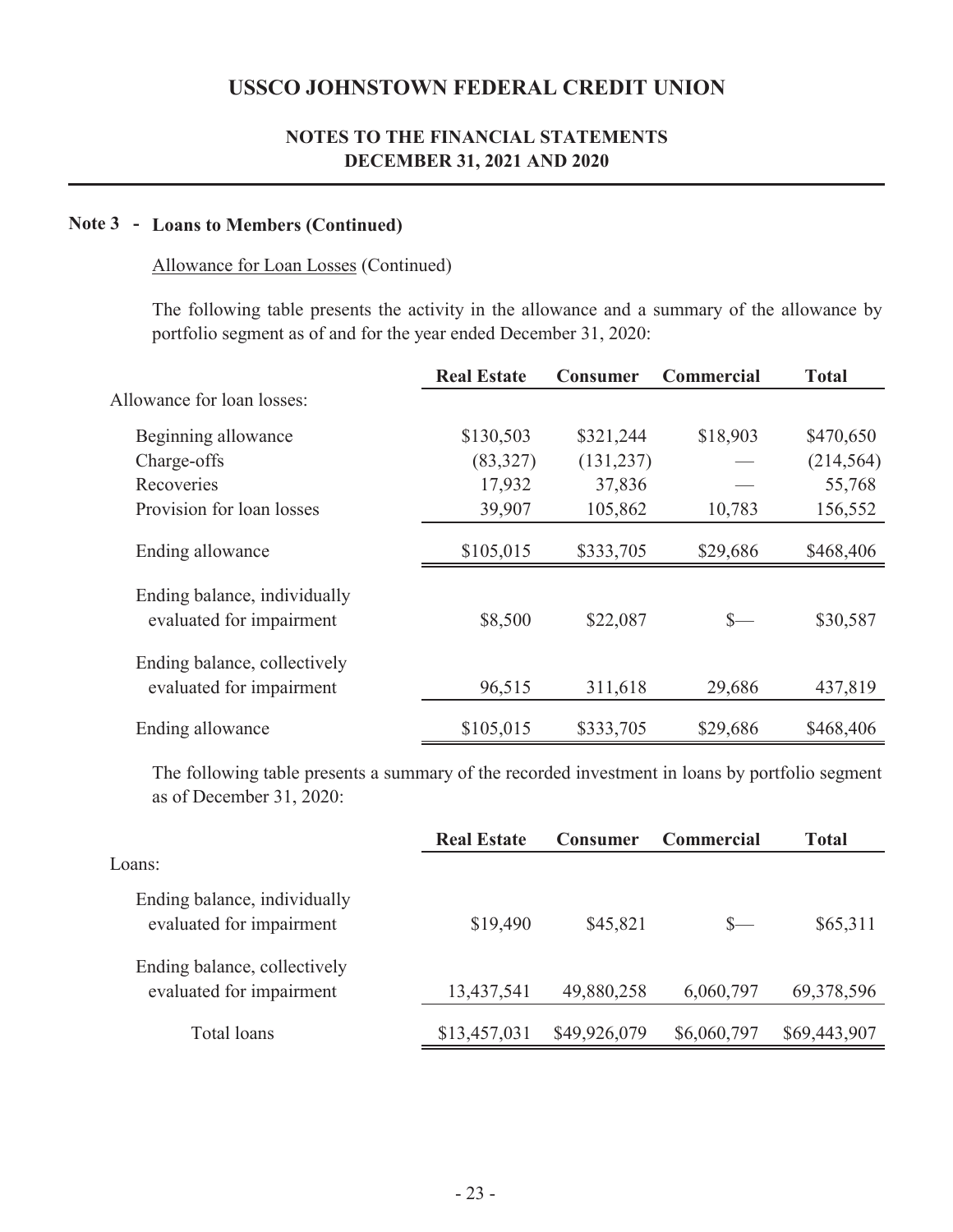### **NOTES TO THE FINANCIAL STATEMENTS DECEMBER 31, 2021 AND 2020**

### **Note 3 - Loans to Members (Continued)**

#### Allowance for Loan Losses (Continued)

The following table presents the activity in the allowance and a summary of the allowance by portfolio segment as of and for the year ended December 31, 2020:

|                                                          | <b>Real Estate</b> | <b>Consumer</b> | <b>Commercial</b>                 | <b>Total</b> |
|----------------------------------------------------------|--------------------|-----------------|-----------------------------------|--------------|
| Allowance for loan losses:                               |                    |                 |                                   |              |
| Beginning allowance                                      | \$130,503          | \$321,244       | \$18,903                          | \$470,650    |
| Charge-offs                                              | (83,327)           | (131, 237)      |                                   | (214, 564)   |
| Recoveries                                               | 17,932             | 37,836          |                                   | 55,768       |
| Provision for loan losses                                | 39,907             | 105,862         | 10,783                            | 156,552      |
| Ending allowance                                         | \$105,015          | \$333,705       | \$29,686                          | \$468,406    |
| Ending balance, individually<br>evaluated for impairment | \$8,500            | \$22,087        | $\frac{\mathcal{S}}{\mathcal{S}}$ | \$30,587     |
| Ending balance, collectively<br>evaluated for impairment | 96,515             | 311,618         | 29,686                            | 437,819      |
| Ending allowance                                         | \$105,015          | \$333,705       | \$29,686                          | \$468,406    |

The following table presents a summary of the recorded investment in loans by portfolio segment as of December 31, 2020:

|                                                          | <b>Real Estate</b> | <b>Consumer</b> | <b>Commercial</b> | <b>Total</b> |
|----------------------------------------------------------|--------------------|-----------------|-------------------|--------------|
| Loans:                                                   |                    |                 |                   |              |
| Ending balance, individually<br>evaluated for impairment | \$19,490           | \$45,821        | $S-$              | \$65,311     |
| Ending balance, collectively<br>evaluated for impairment | 13,437,541         | 49,880,258      | 6,060,797         | 69,378,596   |
| Total loans                                              | \$13,457,031       | \$49,926,079    | \$6,060,797       | \$69,443,907 |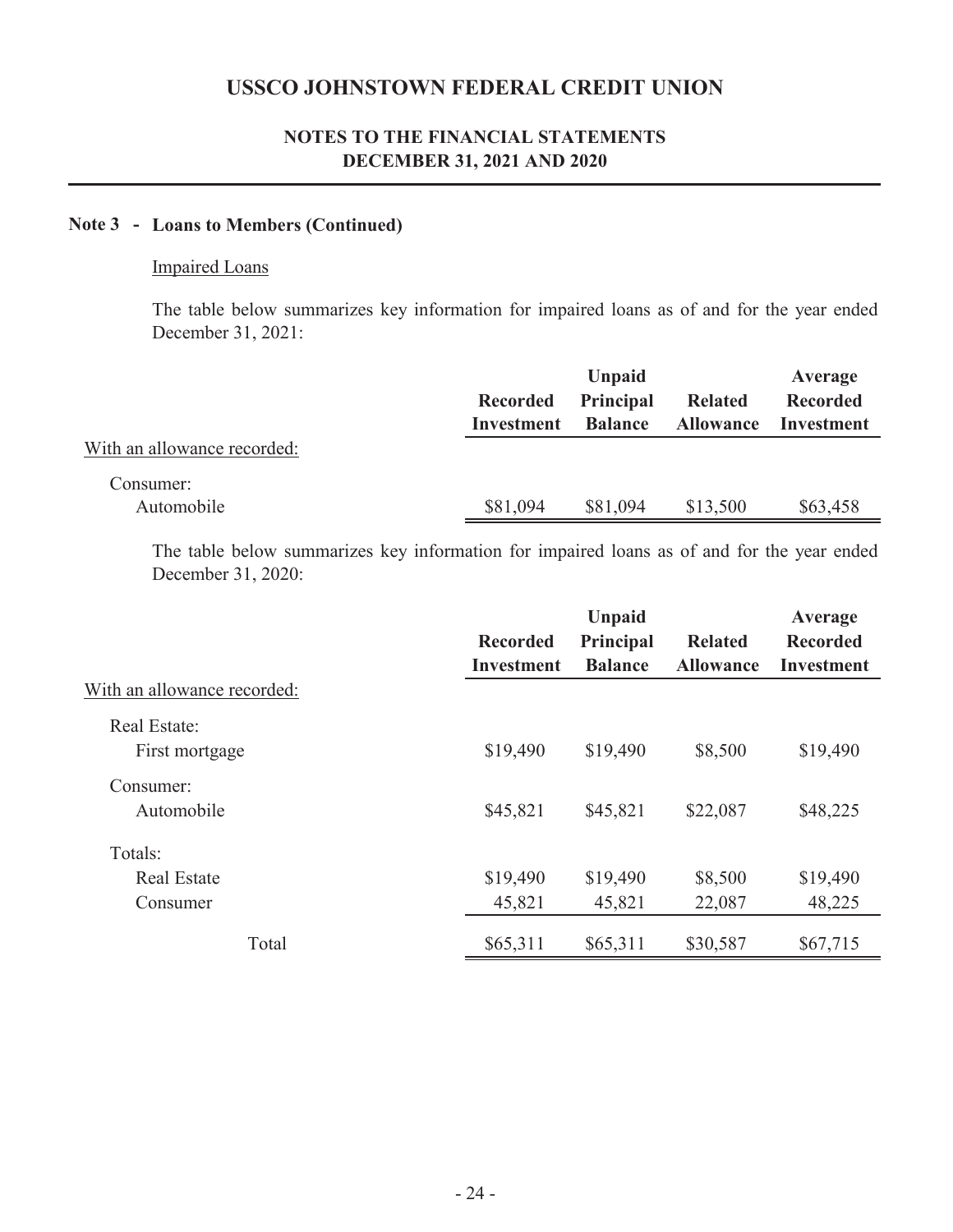### **NOTES TO THE FINANCIAL STATEMENTS DECEMBER 31, 2021 AND 2020**

### **Note 3 - Loans to Members (Continued)**

### Impaired Loans

The table below summarizes key information for impaired loans as of and for the year ended December 31, 2021:

|                             |                 | <b>Unpaid</b>    |                  | Average         |
|-----------------------------|-----------------|------------------|------------------|-----------------|
|                             | <b>Recorded</b> | <b>Principal</b> | <b>Related</b>   | <b>Recorded</b> |
|                             | Investment      | <b>Balance</b>   | <b>Allowance</b> | Investment      |
| With an allowance recorded: |                 |                  |                  |                 |
| Consumer:                   |                 |                  |                  |                 |
| Automobile                  | \$81,094        | \$81,094         | \$13,500         | \$63,458        |

The table below summarizes key information for impaired loans as of and for the year ended December 31, 2020:

|                             |                   | <b>Unpaid</b>  |                  | Average           |
|-----------------------------|-------------------|----------------|------------------|-------------------|
|                             | <b>Recorded</b>   | Principal      | <b>Related</b>   | <b>Recorded</b>   |
|                             | <b>Investment</b> | <b>Balance</b> | <b>Allowance</b> | <b>Investment</b> |
| With an allowance recorded: |                   |                |                  |                   |
| Real Estate:                |                   |                |                  |                   |
| First mortgage              | \$19,490          | \$19,490       | \$8,500          | \$19,490          |
| Consumer:                   |                   |                |                  |                   |
| Automobile                  | \$45,821          | \$45,821       | \$22,087         | \$48,225          |
| Totals:                     |                   |                |                  |                   |
| <b>Real Estate</b>          | \$19,490          | \$19,490       | \$8,500          | \$19,490          |
| Consumer                    | 45,821            | 45,821         | 22,087           | 48,225            |
| Total                       | \$65,311          | \$65,311       | \$30,587         | \$67,715          |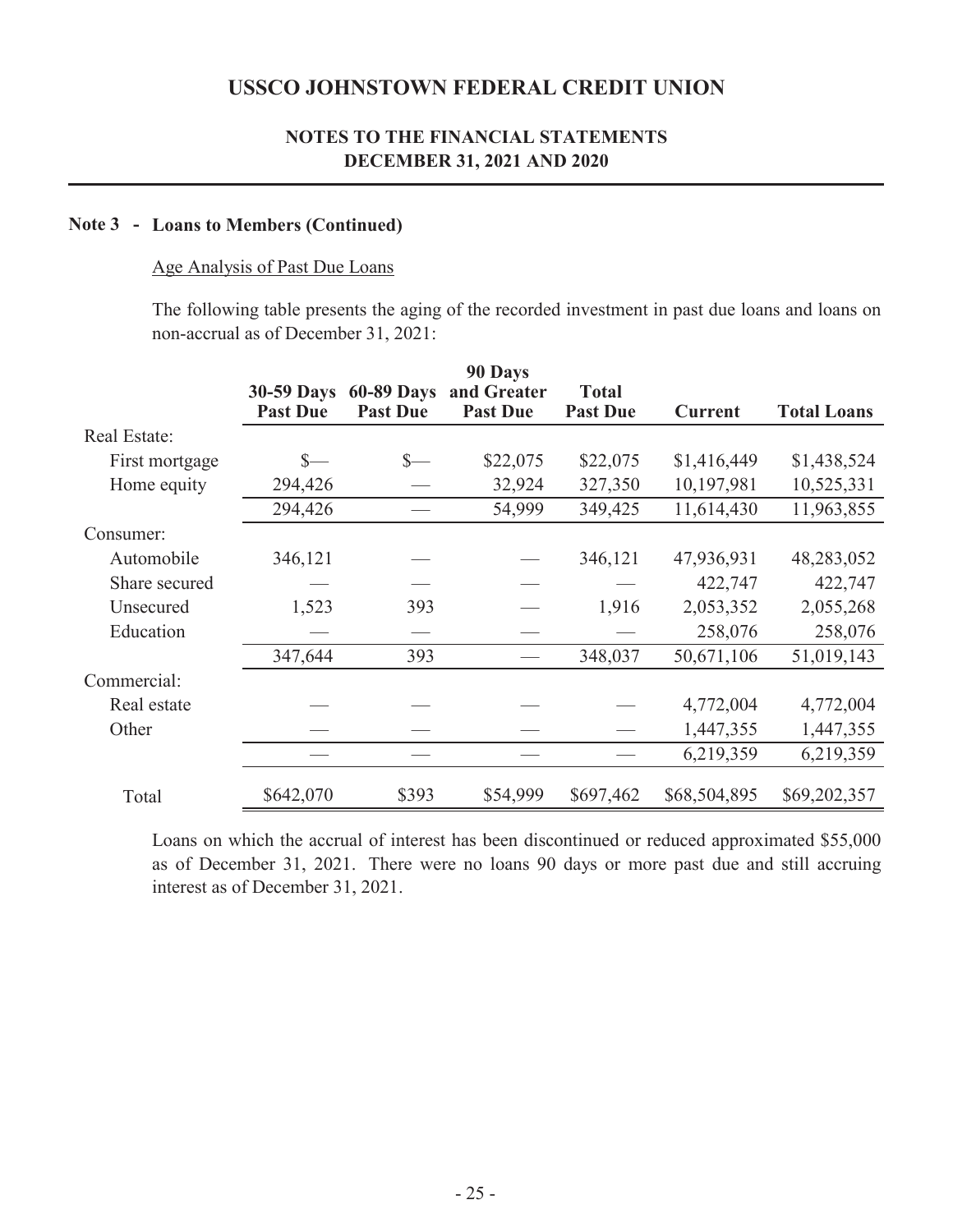### **NOTES TO THE FINANCIAL STATEMENTS DECEMBER 31, 2021 AND 2020**

### **Note 3 - Loans to Members (Continued)**

### Age Analysis of Past Due Loans

The following table presents the aging of the recorded investment in past due loans and loans on non-accrual as of December 31, 2021:

|                |                                      |                                      | 90 Days                        |                                 |                |                    |
|----------------|--------------------------------------|--------------------------------------|--------------------------------|---------------------------------|----------------|--------------------|
|                | <b>30-59 Days</b><br><b>Past Due</b> | <b>60-89 Days</b><br><b>Past Due</b> | and Greater<br><b>Past Due</b> | <b>Total</b><br><b>Past Due</b> |                |                    |
|                |                                      |                                      |                                |                                 | <b>Current</b> | <b>Total Loans</b> |
| Real Estate:   |                                      |                                      |                                |                                 |                |                    |
| First mortgage | $S-$                                 | $S-$                                 | \$22,075                       | \$22,075                        | \$1,416,449    | \$1,438,524        |
| Home equity    | 294,426                              |                                      | 32,924                         | 327,350                         | 10,197,981     | 10,525,331         |
|                | 294,426                              |                                      | 54,999                         | 349,425                         | 11,614,430     | 11,963,855         |
| Consumer:      |                                      |                                      |                                |                                 |                |                    |
| Automobile     | 346,121                              |                                      |                                | 346,121                         | 47,936,931     | 48,283,052         |
| Share secured  |                                      |                                      |                                |                                 | 422,747        | 422,747            |
| Unsecured      | 1,523                                | 393                                  |                                | 1,916                           | 2,053,352      | 2,055,268          |
| Education      |                                      |                                      |                                |                                 | 258,076        | 258,076            |
|                | 347,644                              | 393                                  |                                | 348,037                         | 50,671,106     | 51,019,143         |
| Commercial:    |                                      |                                      |                                |                                 |                |                    |
| Real estate    |                                      |                                      |                                |                                 | 4,772,004      | 4,772,004          |
| Other          |                                      |                                      |                                |                                 | 1,447,355      | 1,447,355          |
|                |                                      |                                      |                                |                                 | 6,219,359      | 6,219,359          |
| Total          | \$642,070                            | \$393                                | \$54,999                       | \$697,462                       | \$68,504,895   | \$69,202,357       |

Loans on which the accrual of interest has been discontinued or reduced approximated \$55,000 as of December 31, 2021. There were no loans 90 days or more past due and still accruing interest as of December 31, 2021.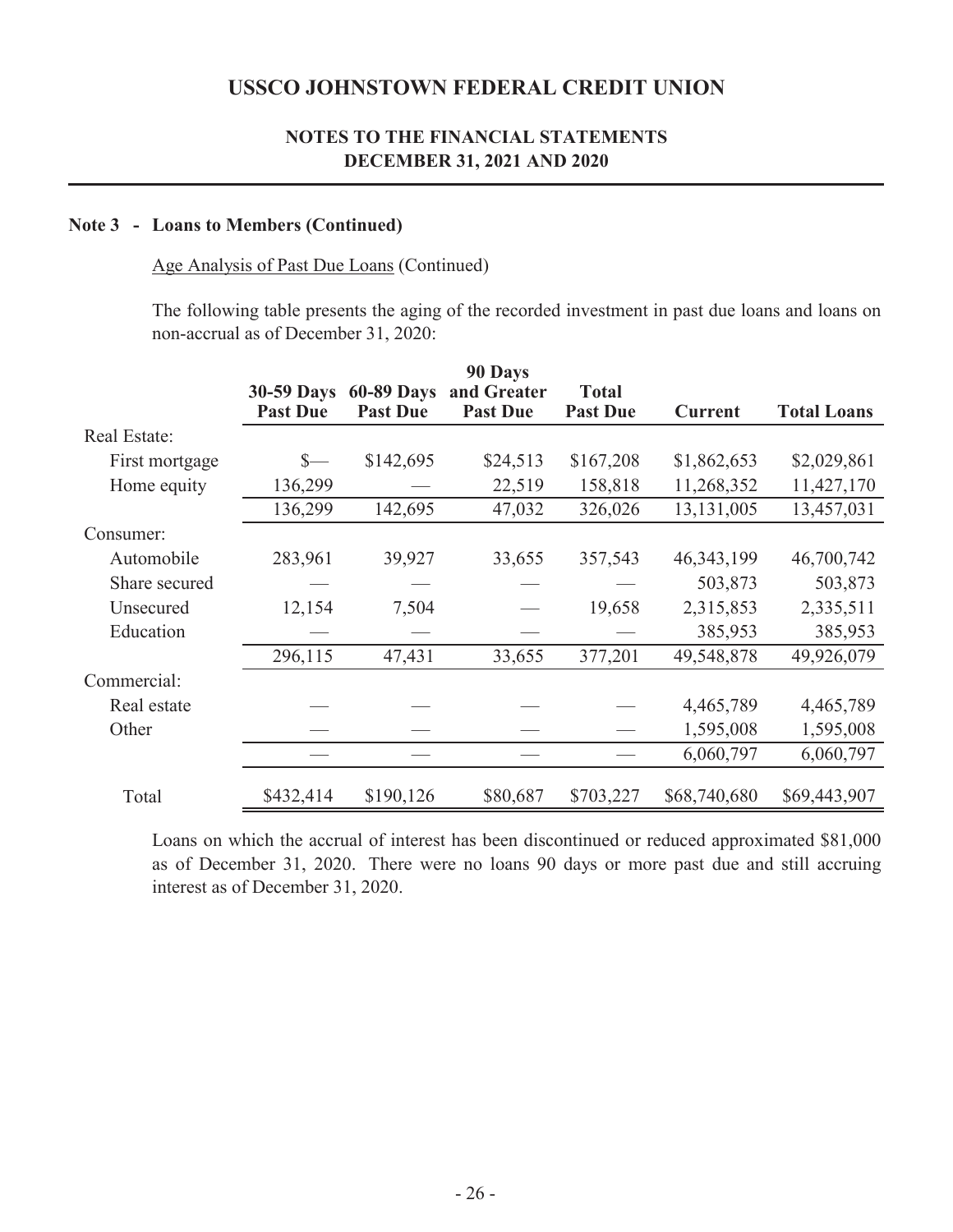### **NOTES TO THE FINANCIAL STATEMENTS DECEMBER 31, 2021 AND 2020**

#### **Note 3 - Loans to Members (Continued)**

#### Age Analysis of Past Due Loans (Continued)

The following table presents the aging of the recorded investment in past due loans and loans on non-accrual as of December 31, 2020:

|                |                   |                   | 90 Days         |                 |                |                    |
|----------------|-------------------|-------------------|-----------------|-----------------|----------------|--------------------|
|                | <b>30-59 Days</b> | <b>60-89 Days</b> | and Greater     | <b>Total</b>    |                |                    |
|                | <b>Past Due</b>   | <b>Past Due</b>   | <b>Past Due</b> | <b>Past Due</b> | <b>Current</b> | <b>Total Loans</b> |
| Real Estate:   |                   |                   |                 |                 |                |                    |
| First mortgage | $S-$              | \$142,695         | \$24,513        | \$167,208       | \$1,862,653    | \$2,029,861        |
| Home equity    | 136,299           |                   | 22,519          | 158,818         | 11,268,352     | 11,427,170         |
|                | 136,299           | 142,695           | 47,032          | 326,026         | 13,131,005     | 13,457,031         |
| Consumer:      |                   |                   |                 |                 |                |                    |
| Automobile     | 283,961           | 39,927            | 33,655          | 357,543         | 46, 343, 199   | 46,700,742         |
| Share secured  |                   |                   |                 |                 | 503,873        | 503,873            |
| Unsecured      | 12,154            | 7,504             |                 | 19,658          | 2,315,853      | 2,335,511          |
| Education      |                   |                   |                 |                 | 385,953        | 385,953            |
|                | 296,115           | 47,431            | 33,655          | 377,201         | 49,548,878     | 49,926,079         |
| Commercial:    |                   |                   |                 |                 |                |                    |
| Real estate    |                   |                   |                 |                 | 4,465,789      | 4,465,789          |
| Other          |                   |                   |                 |                 | 1,595,008      | 1,595,008          |
|                |                   |                   |                 |                 | 6,060,797      | 6,060,797          |
|                |                   |                   |                 |                 |                |                    |
| Total          | \$432,414         | \$190,126         | \$80,687        | \$703,227       | \$68,740,680   | \$69,443,907       |

Loans on which the accrual of interest has been discontinued or reduced approximated \$81,000 as of December 31, 2020. There were no loans 90 days or more past due and still accruing interest as of December 31, 2020.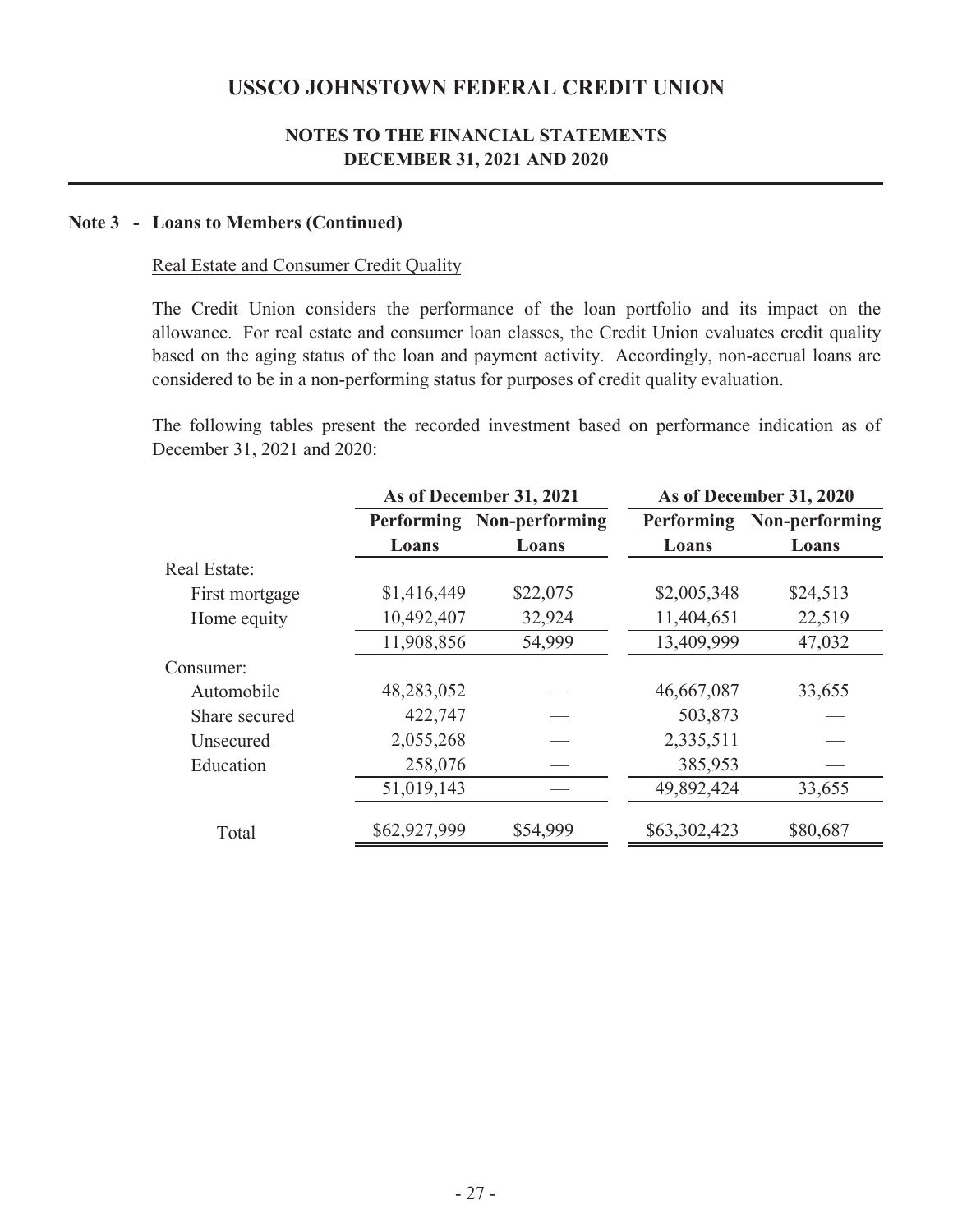### **NOTES TO THE FINANCIAL STATEMENTS DECEMBER 31, 2021 AND 2020**

#### **Note 3 - Loans to Members (Continued)**

#### Real Estate and Consumer Credit Quality

The Credit Union considers the performance of the loan portfolio and its impact on the allowance. For real estate and consumer loan classes, the Credit Union evaluates credit quality based on the aging status of the loan and payment activity. Accordingly, non-accrual loans are considered to be in a non-performing status for purposes of credit quality evaluation.

The following tables present the recorded investment based on performance indication as of December 31, 2021 and 2020:

|                |              | As of December 31, 2021   |              | As of December 31, 2020   |
|----------------|--------------|---------------------------|--------------|---------------------------|
|                |              | Performing Non-performing |              | Performing Non-performing |
|                | Loans        | Loans                     | Loans        | Loans                     |
| Real Estate:   |              |                           |              |                           |
| First mortgage | \$1,416,449  | \$22,075                  | \$2,005,348  | \$24,513                  |
| Home equity    | 10,492,407   | 32,924                    | 11,404,651   | 22,519                    |
|                | 11,908,856   | 54,999                    | 13,409,999   | 47,032                    |
| Consumer:      |              |                           |              |                           |
| Automobile     | 48,283,052   |                           | 46,667,087   | 33,655                    |
| Share secured  | 422,747      |                           | 503,873      |                           |
| Unsecured      | 2,055,268    |                           | 2,335,511    |                           |
| Education      | 258,076      |                           | 385,953      |                           |
|                | 51,019,143   |                           | 49,892,424   | 33,655                    |
| Total          | \$62,927,999 | \$54,999                  | \$63,302,423 | \$80,687                  |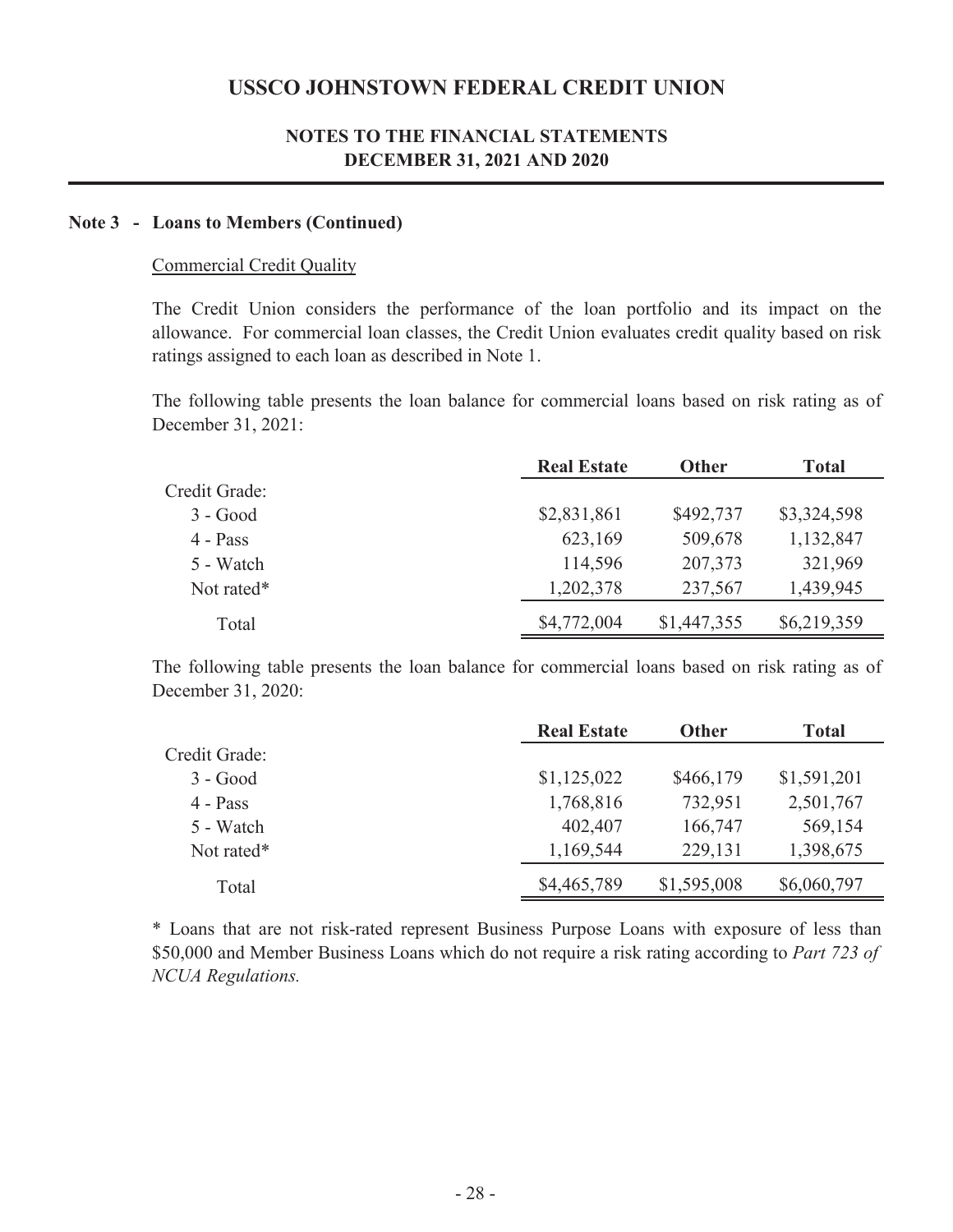### **NOTES TO THE FINANCIAL STATEMENTS DECEMBER 31, 2021 AND 2020**

#### **Note 3 - Loans to Members (Continued)**

### Commercial Credit Quality

The Credit Union considers the performance of the loan portfolio and its impact on the allowance. For commercial loan classes, the Credit Union evaluates credit quality based on risk ratings assigned to each loan as described in Note 1.

The following table presents the loan balance for commercial loans based on risk rating as of December 31, 2021:

|               | <b>Real Estate</b> | <b>Other</b> | <b>Total</b> |
|---------------|--------------------|--------------|--------------|
| Credit Grade: |                    |              |              |
| $3 - Good$    | \$2,831,861        | \$492,737    | \$3,324,598  |
| $4 - Pass$    | 623,169            | 509,678      | 1,132,847    |
| 5 - Watch     | 114,596            | 207,373      | 321,969      |
| Not rated*    | 1,202,378          | 237,567      | 1,439,945    |
| Total         | \$4,772,004        | \$1,447,355  | \$6,219,359  |

The following table presents the loan balance for commercial loans based on risk rating as of December 31, 2020:

|               | <b>Real Estate</b> | <b>Other</b> | <b>Total</b> |
|---------------|--------------------|--------------|--------------|
| Credit Grade: |                    |              |              |
| $3 - Good$    | \$1,125,022        | \$466,179    | \$1,591,201  |
| $4 - Pass$    | 1,768,816          | 732,951      | 2,501,767    |
| 5 - Watch     | 402,407            | 166,747      | 569,154      |
| Not rated*    | 1,169,544          | 229,131      | 1,398,675    |
| Total         | \$4,465,789        | \$1,595,008  | \$6,060,797  |

\* Loans that are not risk-rated represent Business Purpose Loans with exposure of less than \$50,000 and Member Business Loans which do not require a risk rating according to *Part 723 of NCUA Regulations.*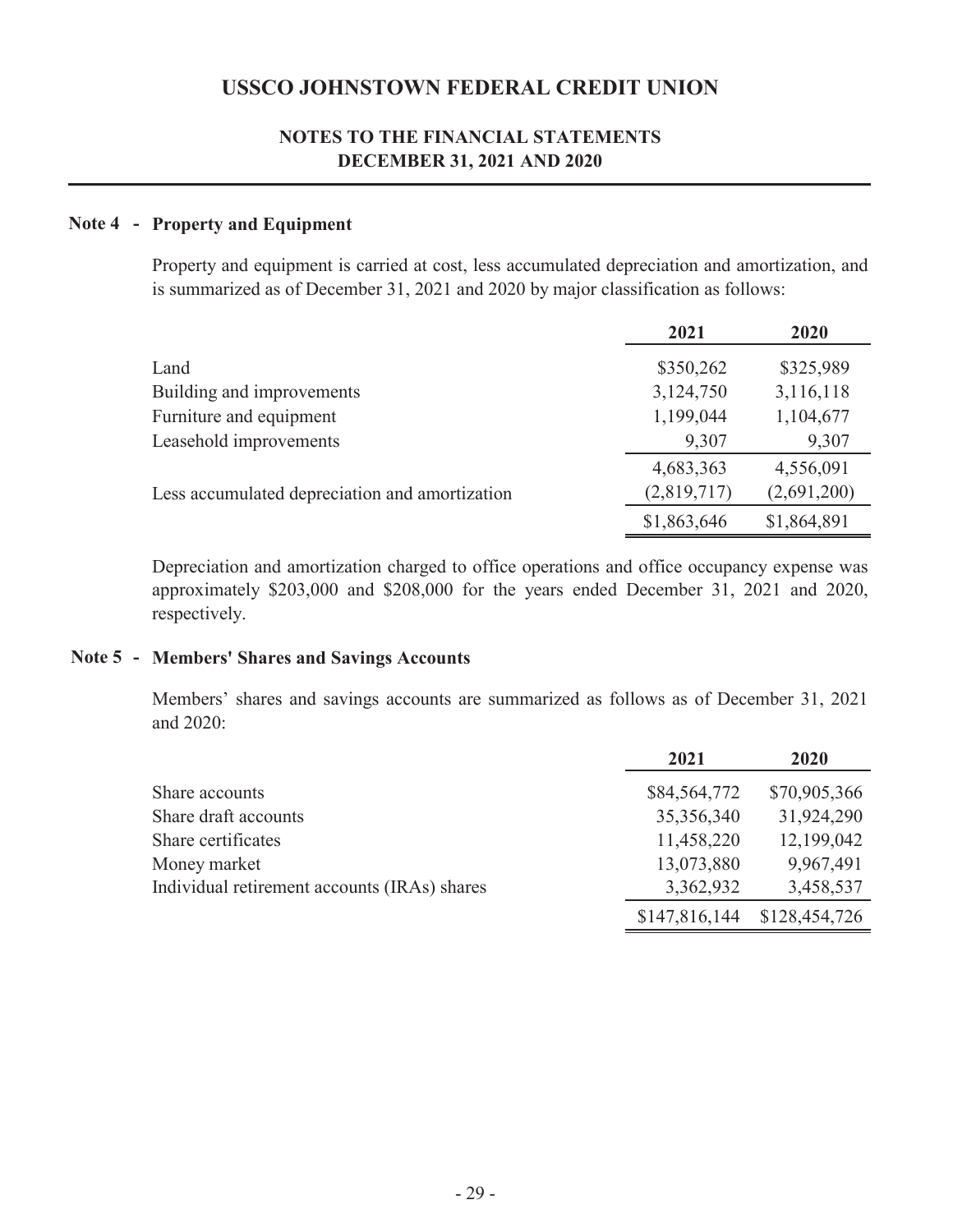### **NOTES TO THE FINANCIAL STATEMENTS DECEMBER 31, 2021 AND 2020**

### **Note 4 - Property and Equipment**

Property and equipment is carried at cost, less accumulated depreciation and amortization, and is summarized as of December 31, 2021 and 2020 by major classification as follows:

|                                                | 2021                     | 2020                     |
|------------------------------------------------|--------------------------|--------------------------|
| Land                                           | \$350,262                | \$325,989                |
| Building and improvements                      | 3,124,750                | 3,116,118                |
| Furniture and equipment                        | 1,199,044                | 1,104,677                |
| Leasehold improvements                         | 9,307                    | 9,307                    |
| Less accumulated depreciation and amortization | 4,683,363<br>(2,819,717) | 4,556,091<br>(2,691,200) |
|                                                | \$1,863,646              | \$1,864,891              |

Depreciation and amortization charged to office operations and office occupancy expense was approximately  $$203,000$  and  $$208,000$  for the years ended December 31, 2021 and 2020, respectively.

#### **Note 5 - Members' Shares and Savings Accounts**

Members' shares and savings accounts are summarized as follows as of December 31, 2021 and 2020:

|                                              | 2021          | 2020          |
|----------------------------------------------|---------------|---------------|
| Share accounts                               | \$84,564,772  | \$70,905,366  |
| Share draft accounts                         | 35,356,340    | 31,924,290    |
| Share certificates                           | 11,458,220    | 12,199,042    |
| Money market                                 | 13,073,880    | 9,967,491     |
| Individual retirement accounts (IRAs) shares | 3,362,932     | 3,458,537     |
|                                              | \$147,816,144 | \$128,454,726 |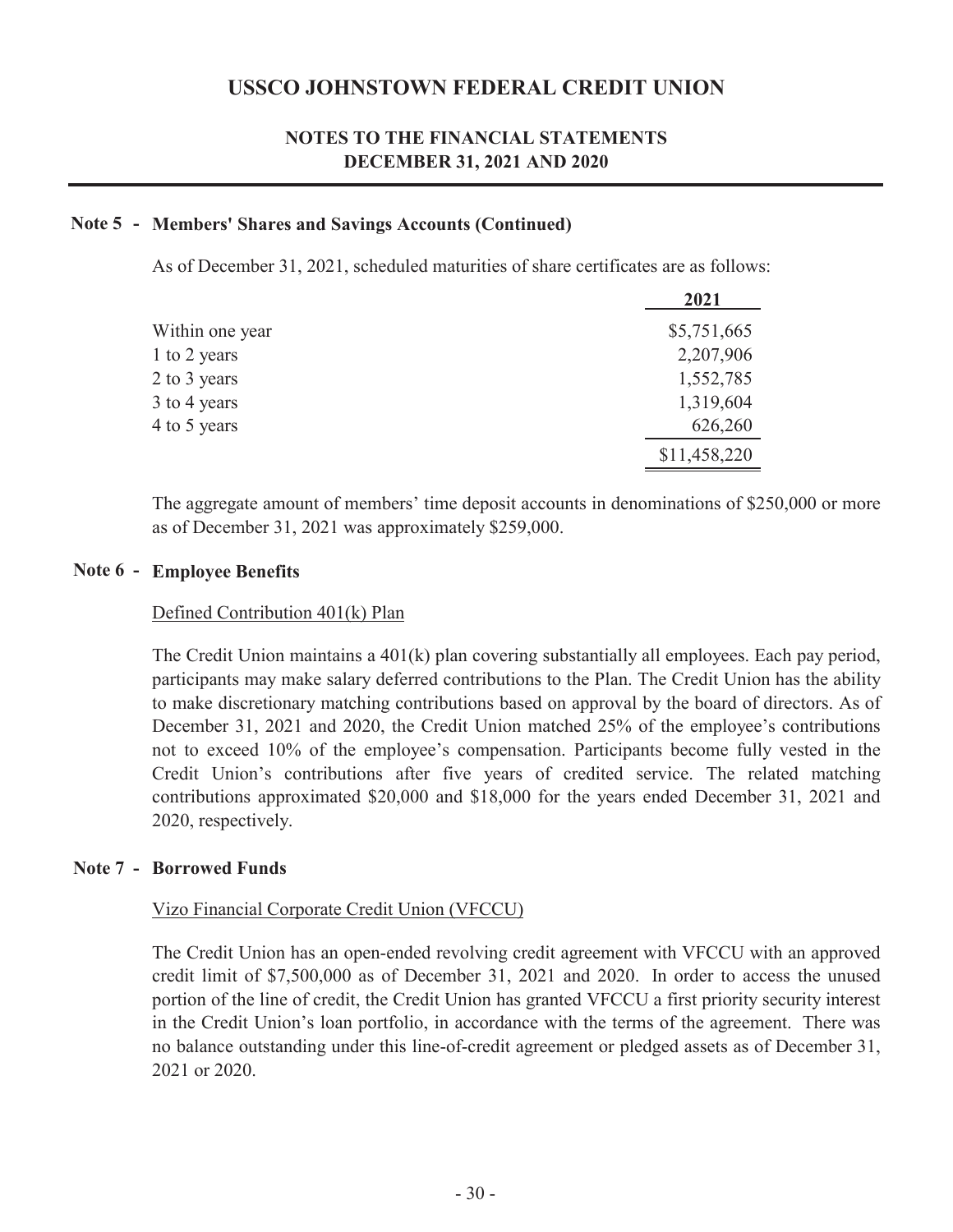### **NOTES TO THE FINANCIAL STATEMENTS DECEMBER 31, 2021 AND 2020**

### **Note 5 - Members' Shares and Savings Accounts (Continued)**

As of December 31, 2021, scheduled maturities of share certificates are as follows:

|                 | 2021         |
|-----------------|--------------|
| Within one year | \$5,751,665  |
| 1 to 2 years    | 2,207,906    |
| 2 to 3 years    | 1,552,785    |
| 3 to 4 years    | 1,319,604    |
| 4 to 5 years    | 626,260      |
|                 | \$11,458,220 |

The aggregate amount of members' time deposit accounts in denominations of \$250,000 or more as of December 31, 2021 was approximately  $$259,000$ .

### **Note 6 - Employee Benefits**

### Defined Contribution 401(k) Plan

The Credit Union maintains a  $401(k)$  plan covering substantially all employees. Each pay period, participants may make salary deferred contributions to the Plan. The Credit Union has the ability to make discretionary matching contributions based on approval by the board of directors. As of December 31, 2021 and 2020, the Credit Union matched 25% of the employee's contributions not to exceed 10% of the employee's compensation. Participants become fully vested in the Credit Union's contributions after five years of credited service. The related matching contributions approximated  $$20,000$  and  $$18,000$  for the years ended December 31, 2021 and 2020, respectively.

### **Note 7 - Borrowed Funds**

### Vizo Financial Corporate Credit Union (VFCCU)

The Credit Union has an open-ended revolving credit agreement with VFCCU with an approved credit limit of  $$7,500,000$  as of December 31, 2021 and 2020. In order to access the unused portion of the line of credit, the Credit Union has granted VFCCU a first priority security interest in the Credit Union's loan portfolio, in accordance with the terms of the agreement. There was no balance outstanding under this line-of-credit agreement or pledged assets as of December 31, 2021 or 2020.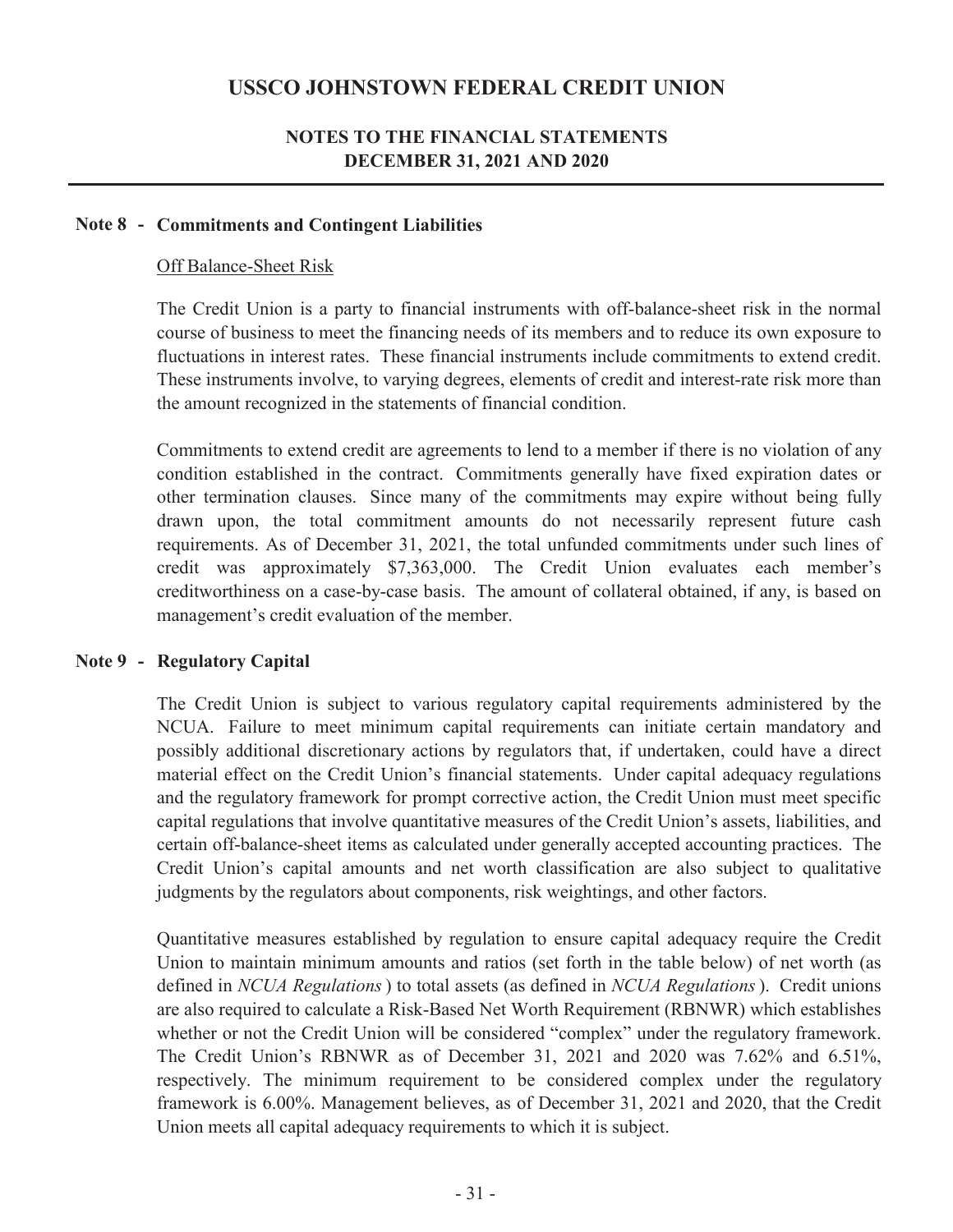### **NOTES TO THE FINANCIAL STATEMENTS DECEMBER 31, 2021 AND 2020**

#### **Note 8 - Commitments and Contingent Liabilities**

#### Off Balance-Sheet Risk

The Credit Union is a party to financial instruments with off-balance-sheet risk in the normal course of business to meet the financing needs of its members and to reduce its own exposure to fluctuations in interest rates. These financial instruments include commitments to extend credit. These instruments involve, to varying degrees, elements of credit and interest-rate risk more than the amount recognized in the statements of financial condition.

Commitments to extend credit are agreements to lend to a member if there is no violation of any condition established in the contract. Commitments generally have fixed expiration dates or other termination clauses. Since many of the commitments may expire without being fully drawn upon, the total commitment amounts do not necessarily represent future cash requirements. As of December 31, 2021, the total unfunded commitments under such lines of credit was approximately  $$7,363,000$ . The Credit Union evaluates each member's creditworthiness on a case-by-case basis. The amount of collateral obtained, if any, is based on management's credit evaluation of the member.

### **Note 9 - Regulatory Capital**

The Credit Union is subject to various regulatory capital requirements administered by the NCUA. Failure to meet minimum capital requirements can initiate certain mandatory and possibly additional discretionary actions by regulators that, if undertaken, could have a direct material effect on the Credit Union's financial statements. Under capital adequacy regulations and the regulatory framework for prompt corrective action, the Credit Union must meet specific capital regulations that involve quantitative measures of the Credit Union's assets, liabilities, and certain off-balance-sheet items as calculated under generally accepted accounting practices. The Credit Union's capital amounts and net worth classification are also subject to qualitative judgments by the regulators about components, risk weightings, and other factors.

Quantitative measures established by regulation to ensure capital adequacy require the Credit Union to maintain minimum amounts and ratios (set forth in the table below) of net worth (as defined in *NCUA Regulations*) to total assets (as defined in *NCUA Regulations*). Credit unions are also required to calculate a Risk-Based Net Worth Requirement (RBNWR) which establishes whether or not the Credit Union will be considered "complex" under the regulatory framework. The Credit Union's RBNWR as of December 31, 2021 and 2020 was  $7.62\%$  and  $6.51\%$ , respectively. The minimum requirement to be considered complex under the regulatory framework is 6.00%. Management believes, as of December 31, 2021 and 2020, that the Credit Union meets all capital adequacy requirements to which it is subject.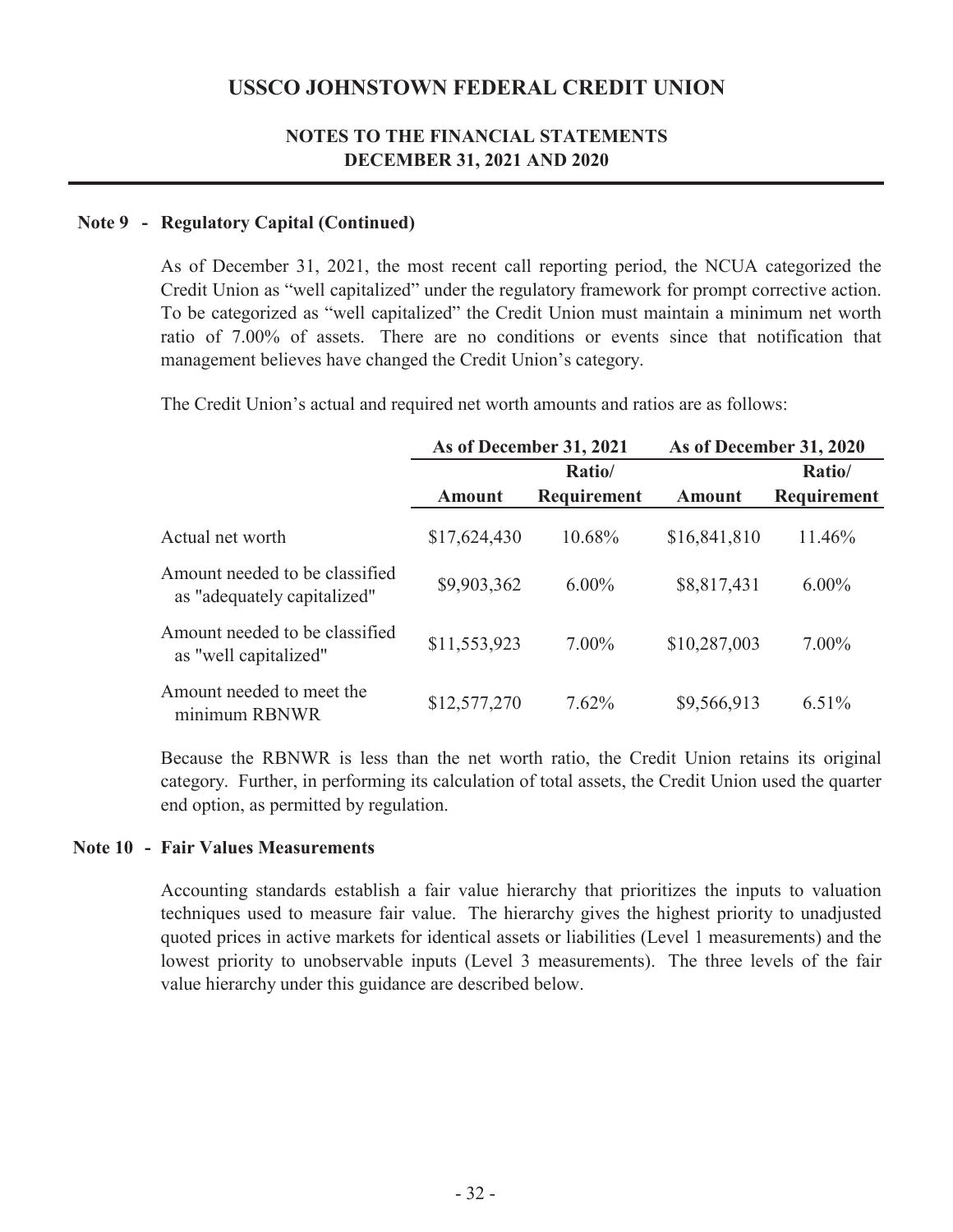### **NOTES TO THE FINANCIAL STATEMENTS DECEMBER 31, 2021 AND 2020**

### **Note 9 - Regulatory Capital (Continued)**

As of December 31, 2021, the most recent call reporting period, the NCUA categorized the Credit Union as "well capitalized" under the regulatory framework for prompt corrective action. To be categorized as "well capitalized" the Credit Union must maintain a minimum net worth ratio of 7.00% of assets. There are no conditions or events since that notification that management believes have changed the Credit Union's category.

The Credit Union's actual and required net worth amounts and ratios are as follows:

|                                                               | As of December 31, 2021 |             | As of December 31, 2020 |             |
|---------------------------------------------------------------|-------------------------|-------------|-------------------------|-------------|
|                                                               |                         | Ratio/      |                         | Ratio/      |
|                                                               | <b>Amount</b>           | Requirement | <b>Amount</b>           | Requirement |
| Actual net worth                                              | \$17,624,430            | 10.68%      | \$16,841,810            | 11.46%      |
| Amount needed to be classified<br>as "adequately capitalized" | \$9,903,362             | $6.00\%$    | \$8,817,431             | $6.00\%$    |
| Amount needed to be classified<br>as "well capitalized"       | \$11,553,923            | $7.00\%$    | \$10,287,003            | 7.00%       |
| Amount needed to meet the<br>minimum RBNWR                    | \$12,577,270            | 7.62%       | \$9,566,913             | 6.51%       |

Because the RBNWR is less than the net worth ratio, the Credit Union retains its original category. Further, in performing its calculation of total assets, the Credit Union used the quarter end option, as permitted by regulation.

### **Note 10 - Fair Values Measurements**

Accounting standards establish a fair value hierarchy that prioritizes the inputs to valuation techniques used to measure fair value. The hierarchy gives the highest priority to unadjusted quoted prices in active markets for identical assets or liabilities (Level 1 measurements) and the lowest priority to unobservable inputs (Level 3 measurements). The three levels of the fair value hierarchy under this guidance are described below.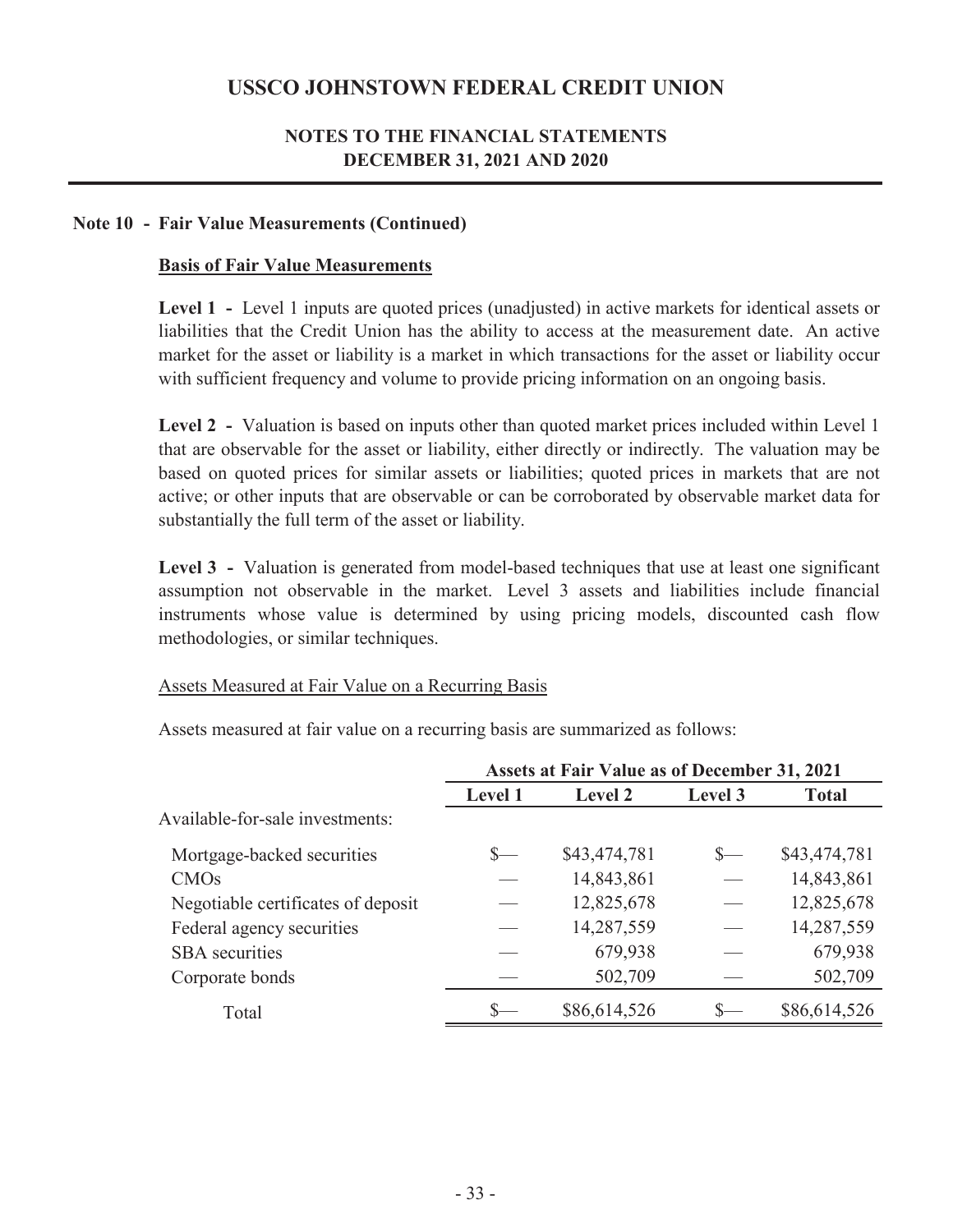### **NOTES TO THE FINANCIAL STATEMENTS DECEMBER 31, 2021 AND 2020**

### **Note 10 - Fair Value Measurements (Continued)**

### **Basis of Fair Value Measurements**

**Level 1 -** Level 1 inputs are quoted prices (unadjusted) in active markets for identical assets or liabilities that the Credit Union has the ability to access at the measurement date. An active market for the asset or liability is a market in which transactions for the asset or liability occur with sufficient frequency and volume to provide pricing information on an ongoing basis.

**Level 2** - Valuation is based on inputs other than quoted market prices included within Level 1 that are observable for the asset or liability, either directly or indirectly. The valuation may be based on quoted prices for similar assets or liabilities; quoted prices in markets that are not active; or other inputs that are observable or can be corroborated by observable market data for substantially the full term of the asset or liability.

**Level 3 -** Valuation is generated from model-based techniques that use at least one significant assumption not observable in the market. Level 3 assets and liabilities include financial instruments whose value is determined by using pricing models, discounted cash flow methodologies, or similar techniques.

### Assets Measured at Fair Value on a Recurring Basis

Assets measured at fair value on a recurring basis are summarized as follows:

|                                    | <b>Assets at Fair Value as of December 31, 2021</b> |                |         |              |
|------------------------------------|-----------------------------------------------------|----------------|---------|--------------|
|                                    | <b>Level 1</b>                                      | <b>Level 2</b> | Level 3 | <b>Total</b> |
| Available-for-sale investments:    |                                                     |                |         |              |
| Mortgage-backed securities         |                                                     | \$43,474,781   |         | \$43,474,781 |
| CMOs                               |                                                     | 14,843,861     |         | 14,843,861   |
| Negotiable certificates of deposit |                                                     | 12,825,678     |         | 12,825,678   |
| Federal agency securities          |                                                     | 14,287,559     |         | 14,287,559   |
| <b>SBA</b> securities              |                                                     | 679,938        |         | 679,938      |
| Corporate bonds                    |                                                     | 502,709        |         | 502,709      |
| Total                              |                                                     | \$86,614,526   |         | \$86,614,526 |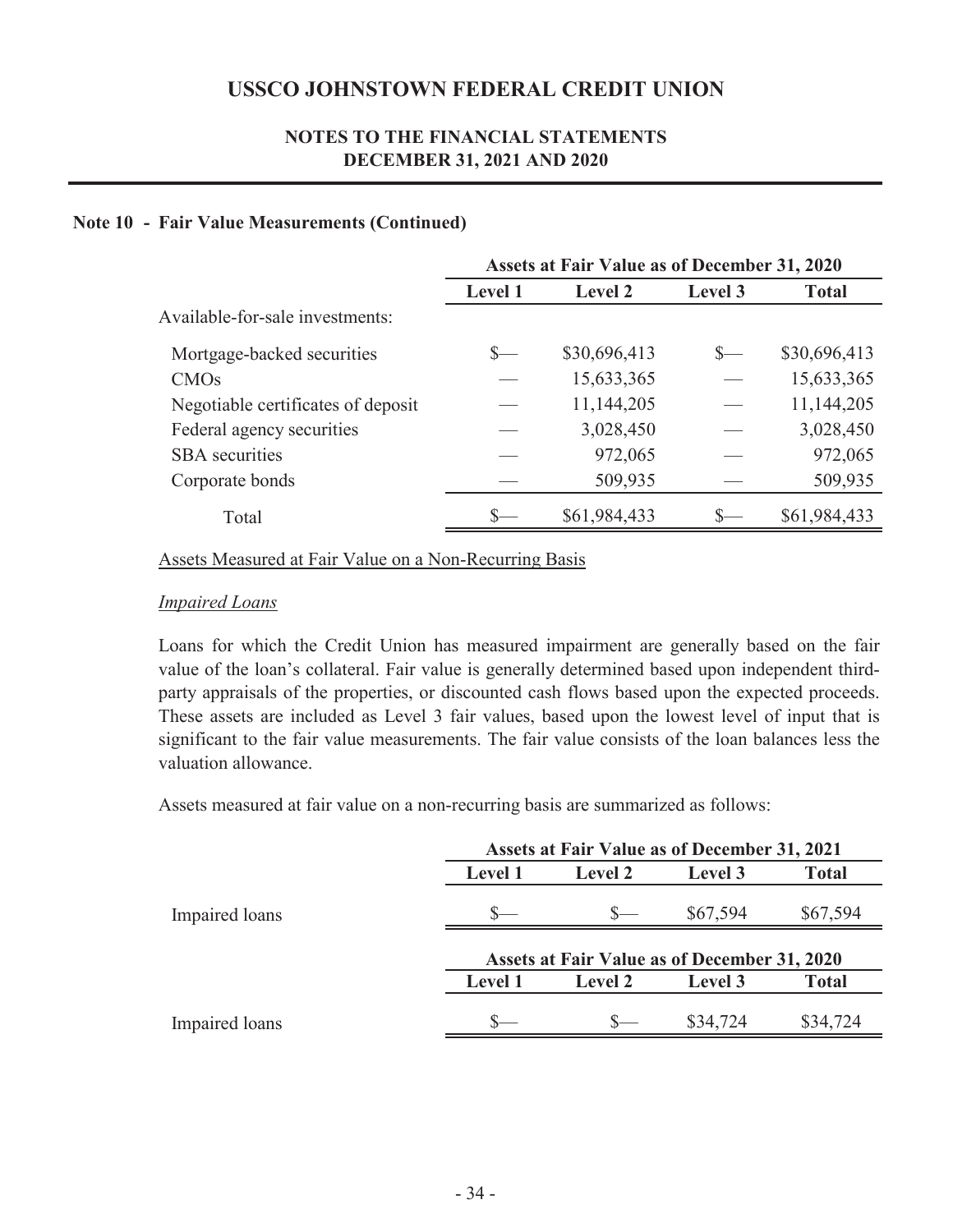### **NOTES TO THE FINANCIAL STATEMENTS DECEMBER 31, 2021 AND 2020**

### **Note 10 - Fair Value Measurements (Continued)**

| <b>Assets at Fair Value as of December 31, 2020</b> |                |         |              |
|-----------------------------------------------------|----------------|---------|--------------|
| <b>Level 1</b>                                      | <b>Level 2</b> | Level 3 | <b>Total</b> |
|                                                     |                |         |              |
|                                                     | \$30,696,413   |         | \$30,696,413 |
|                                                     | 15,633,365     |         | 15,633,365   |
|                                                     | 11,144,205     |         | 11,144,205   |
|                                                     | 3,028,450      |         | 3,028,450    |
|                                                     | 972,065        |         | 972,065      |
|                                                     | 509,935        |         | 509,935      |
|                                                     | \$61,984,433   |         | \$61,984,433 |
|                                                     |                |         |              |

### Assets Measured at Fair Value on a Non-Recurring Basis

#### *Impaired Loans*

Loans for which the Credit Union has measured impairment are generally based on the fair value of the loan's collateral. Fair value is generally determined based upon independent thirdparty appraisals of the properties, or discounted cash flows based upon the expected proceeds. These assets are included as Level 3 fair values, based upon the lowest level of input that is significant to the fair value measurements. The fair value consists of the loan balances less the valuation allowance.

Assets measured at fair value on a non-recurring basis are summarized as follows:

|                | <b>Assets at Fair Value as of December 31, 2021</b> |                |          |              |
|----------------|-----------------------------------------------------|----------------|----------|--------------|
|                | <b>Level 1</b>                                      | <b>Level 2</b> | Level 3  | <b>Total</b> |
| Impaired loans |                                                     |                | \$67,594 | \$67,594     |
|                | <b>Assets at Fair Value as of December 31, 2020</b> |                |          |              |
|                | <b>Level 1</b>                                      | <b>Level 2</b> | Level 3  | <b>Total</b> |
| Impaired loans |                                                     |                | \$34,724 | \$34,724     |